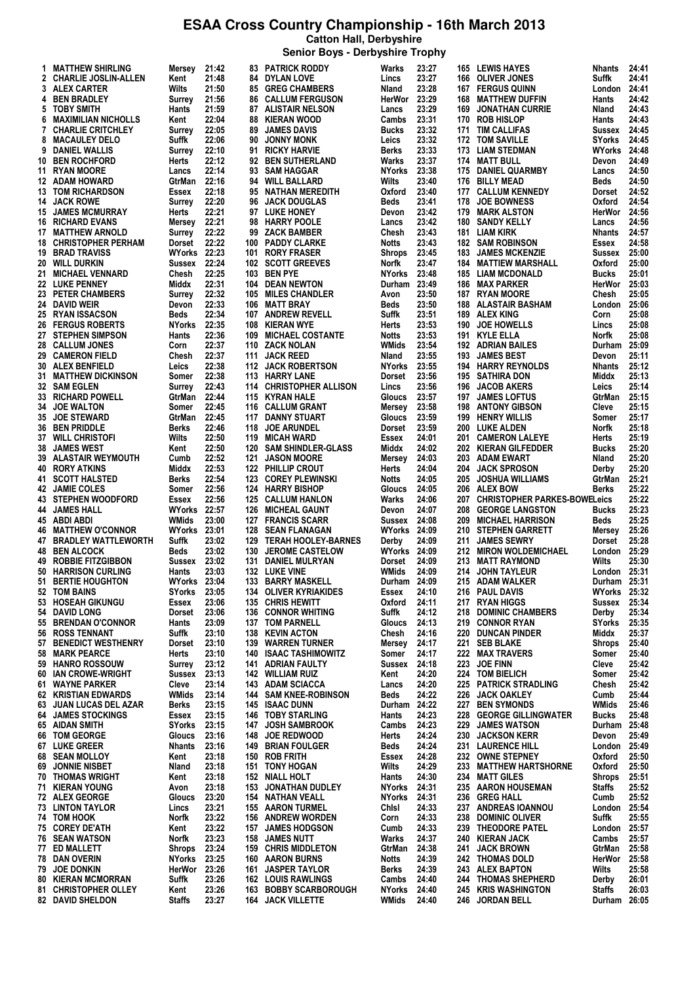**Senior Boys - Derbyshire Trophy**

| 1. | <b>MATTHEW SHIRLING</b>                         |                     | 21:42          |     | <b>83 PATRICK RODDY</b>                              | Warks                  | 23:27          |     | 165 LEWIS HAYES                           | Nhants                 | 24:41 |
|----|-------------------------------------------------|---------------------|----------------|-----|------------------------------------------------------|------------------------|----------------|-----|-------------------------------------------|------------------------|-------|
|    |                                                 | Mersey              |                |     |                                                      |                        |                |     |                                           |                        |       |
|    | 2 CHARLIE JOSLIN-ALLEN                          | Kent                | 21:48          |     | 84 DYLAN LOVE                                        | Lincs                  | 23:27          | 166 | <b>OLIVER JONES</b>                       | Suffk                  | 24:41 |
|    | 3 ALEX CARTER                                   | Wilts               | 21:50          | 85  | <b>GREG CHAMBERS</b>                                 | Nland                  | 23:28          | 167 | <b>FERGUS QUINN</b>                       | London                 | 24:41 |
|    | 4 BEN BRADLEY                                   | Surrev              | 21:56          |     | <b>86 CALLUM FERGUSON</b>                            | HerWor                 | 23:29          | 168 | <b>MATTHEW DUFFIN</b>                     | Hants                  | 24:42 |
|    | 5 TOBY SMITH                                    | Hants               | 21:59          | 87  | <b>ALISTAIR NELSON</b>                               | Lancs                  | 23:29          | 169 | <b>JONATHAN CURRIE</b>                    | Nland                  | 24:43 |
| 6. | <b>MAXIMILIAN NICHOLLS</b>                      | Kent                | 22:04          | 88  | KIERAN WOOD                                          | Cambs                  | 23:31          | 170 | <b>ROB HISLOP</b>                         | Hants                  | 24:43 |
| 7  | <b>CHARLIE CRITCHLEY</b>                        |                     | 22:05          |     |                                                      |                        | 23:32          | 171 | <b>TIM CALLIFAS</b>                       |                        | 24:45 |
|    |                                                 | Surrey              |                | 89  | <b>JAMES DAVIS</b>                                   | Bucks                  |                |     |                                           | Sussex                 |       |
| 8  | <b>MACAULEY DELO</b>                            | Suffk               | 22:06          | 90  | <b>JONNY MONK</b>                                    | Leics                  | 23:32          |     | 172 TOM SAVILLE                           | SYorks                 | 24:45 |
| 9  | DANIEL WALLIS                                   | Surrey              | 22:10          | 91  | <b>RICKY HARVIE</b>                                  | Berks                  | 23:33          | 173 | <b>LIAM STEDMAN</b>                       | WYorks                 | 24:48 |
|    | 10 BEN ROCHFORD                                 | Herts               | 22:12          |     | 92 BEN SUTHERLAND                                    | Warks                  | 23:37          |     | 174 MATT BULL                             | Devon                  | 24:49 |
|    | <b>11 RYAN MOORE</b>                            | Lancs               | 22:14          | 93  | <b>SAM HAGGAR</b>                                    | <b>NYorks</b>          | 23:38          | 175 | <b>DANIEL QUARMBY</b>                     | Lancs                  | 24:50 |
|    |                                                 |                     | 22:16          |     |                                                      |                        | 23:40          |     |                                           |                        |       |
|    | 12 ADAM HOWARD                                  | GtrMan              |                |     | 94 WILL BALLARD                                      | Wilts                  |                | 176 | <b>BILLY MEAD</b>                         | Beds                   | 24:50 |
|    | <b>13 TOM RICHARDSON</b>                        | Essex               | 22:18          | 95  | NATHAN MEREDITH                                      | Oxford                 | 23:40          | 177 | <b>CALLUM KENNEDY</b>                     | Dorset                 | 24:52 |
|    | <b>14 JACK ROWE</b>                             | Surrey              | 22:20          | 96  | <b>JACK DOUGLAS</b>                                  | Beds                   | 23:41          | 178 | <b>JOE BOWNESS</b>                        | Oxford                 | 24:54 |
|    | <b>15 JAMES MCMURRAY</b>                        | Herts               | 22:21          |     | 97 LUKE HONEY                                        | Devon                  | 23:42          | 179 | <b>MARK ALSTON</b>                        | HerWor                 | 24:56 |
|    | <b>16 RICHARD EVANS</b>                         | Mersey              | 22:21          | 98  | <b>HARRY POOLE</b>                                   | Lancs                  | 23:42          | 180 | <b>SANDY KELLY</b>                        | Lancs                  | 24:56 |
|    | <b>17 MATTHEW ARNOLD</b>                        | Surrey              | 22:22          | 99  | <b>ZACK BAMBER</b>                                   | Chesh                  | 23:43          | 181 | <b>LIAM KIRK</b>                          | Nhants                 | 24:57 |
|    |                                                 |                     |                |     |                                                      |                        |                |     |                                           |                        |       |
|    | <b>18 CHRISTOPHER PERHAM</b>                    | Dorset              | 22:22          | 100 | <b>PADDY CLARKE</b>                                  | Notts                  | 23:43          | 182 | <b>SAM ROBINSON</b>                       | Essex                  | 24:58 |
|    | <b>19 BRAD TRAVISS</b>                          | <b>WYorks 22:23</b> |                | 101 | <b>RORY FRASER</b>                                   | Shrops                 | 23:45          | 183 | <b>JAMES MCKENZIE</b>                     | Sussex                 | 25:00 |
|    | 20 WILL DURKIN                                  | Sussex              | 22:24          |     | <b>102 SCOTT GREEVES</b>                             | Norfk                  | 23:47          | 184 | <b>MATTIEW MARSHALL</b>                   | Oxford                 | 25:00 |
|    | 21 MICHAEL VENNARD                              | Chesh               | 22:25          | 103 | <b>BEN PYE</b>                                       | NYorks                 | 23:48          | 185 | <b>LIAM MCDONALD</b>                      | Bucks                  | 25:01 |
|    | 22 LUKE PENNEY                                  | Middx               | 22:31          | 104 | <b>DEAN NEWTON</b>                                   | Durham 23:49           |                | 186 | <b>MAX PARKER</b>                         | HerWor                 | 25:03 |
|    | 23 PETER CHAMBERS                               | Surrey              | 22:32          | 105 | <b>MILES CHANDLER</b>                                | Avon                   | 23:50          | 187 | <b>RYAN MOORE</b>                         | Chesh                  | 25:05 |
|    |                                                 |                     |                |     |                                                      |                        |                |     |                                           |                        |       |
|    | 24 DAVID WEIR                                   | Devon               | 22:33          | 106 | <b>MATT BRAY</b>                                     | Beds                   | 23:50          | 188 | <b>ALASTAIR BASHAM</b>                    | London                 | 25:06 |
|    | 25 RYAN ISSACSON                                | Beds                | 22:34          | 107 | <b>ANDREW REVELL</b>                                 | Suffk                  | 23:51          | 189 | <b>ALEX KING</b>                          | Corn                   | 25:08 |
|    | <b>26 FERGUS ROBERTS</b>                        | <b>NYorks</b>       | 22:35          | 108 | KIERAN WYE                                           | Herts                  | 23:53          | 190 | <b>JOE HOWELLS</b>                        | Lincs                  | 25:08 |
|    | 27 STEPHEN SIMPSON                              | Hants               | 22:36          | 109 | <b>MICHAEL COSTANTE</b>                              | <b>Notts</b>           | 23:53          | 191 | <b>KYLE ELLA</b>                          | Norfk                  | 25:08 |
|    | <b>28 CALLUM JONES</b>                          | Corn                | 22:37          | 110 | <b>ZACK NOLAN</b>                                    | WMids                  | 23:54          |     | <b>192 ADRIAN BAILES</b>                  | Durham 25:09           |       |
|    |                                                 |                     |                |     |                                                      |                        |                |     |                                           |                        |       |
|    | 29 CAMERON FIELD                                | Chesh               | 22:37          | 111 | <b>JACK REED</b>                                     | Nland                  | 23:55          | 193 | <b>JAMES BEST</b>                         | Devon                  | 25:11 |
|    | <b>30 ALEX BENFIELD</b>                         | Leics               | 22:38          |     | <b>112 JACK ROBERTSON</b>                            | <b>NYorks</b>          | 23:55          | 194 | <b>HARRY REYNOLDS</b>                     | <b>Nhants</b>          | 25:12 |
|    | <b>31 MATTHEW DICKINSON</b>                     | Somer               | 22:38          | 113 | <b>HARRY LANE</b>                                    | Dorset                 | 23:56          | 195 | SATHIRA DON                               | Middx                  | 25:13 |
|    | <b>32 SAM EGLEN</b>                             | Surrey              | 22:43          |     | 114 CHRISTOPHER ALLISON                              | Lincs                  | 23:56          | 196 | <b>JACOB AKERS</b>                        | Leics                  | 25:14 |
| 33 | <b>RICHARD POWELL</b>                           | GtrMan              | 22:44          | 115 | <b>KYRAN HALE</b>                                    | Gloucs                 | 23:57          | 197 | <b>JAMES LOFTUS</b>                       | GtrMan                 | 25:15 |
|    |                                                 |                     |                |     |                                                      |                        |                |     |                                           |                        |       |
| 34 | <b>JOE WALTON</b>                               | Somer               | 22:45          | 116 | <b>CALLUM GRANT</b>                                  | Mersey                 | 23:58          | 198 | <b>ANTONY GIBSON</b>                      | Cleve                  | 25:15 |
|    | <b>35 JOE STEWARD</b>                           | GtrMan              | 22:45          | 117 | <b>DANNY STUART</b>                                  | Gloucs                 | 23:59          | 199 | <b>HENRY WILLIS</b>                       | Somer                  | 25:17 |
|    | <b>36 BEN PRIDDLE</b>                           | Berks               | 22:46          | 118 | <b>JOE ARUNDEL</b>                                   | Dorset                 | 23:59          | 200 | <b>LUKE ALDEN</b>                         | Norfk                  | 25:18 |
|    | <b>37 WILL CHRISTOFI</b>                        | Wilts               | 22:50          | 119 | <b>MICAH WARD</b>                                    | Essex                  | 24:01          | 201 | <b>CAMERON LALEYE</b>                     | Herts                  | 25:19 |
|    | <b>38 JAMES WEST</b>                            | Kent                | 22:50          | 120 | <b>SAM SHINDLER-GLASS</b>                            | Middx                  | 24:02          | 202 | <b>KIERAN GILFEDDER</b>                   | Bucks                  | 25:20 |
|    | <b>39 ALASTAIR WEYMOUTH</b>                     | Cumb                | 22:52          | 121 | <b>JASON MOORE</b>                                   | Mersey                 | 24:03          | 203 | <b>ADAM EWART</b>                         | Nland                  | 25:20 |
|    |                                                 |                     |                |     |                                                      |                        |                |     |                                           |                        |       |
|    | <b>40 RORY ATKINS</b>                           | Middx               | 22:53          |     | <b>122 PHILLIP CROUT</b>                             | Herts                  | 24:04          | 204 | <b>JACK SPROSON</b>                       | Derby                  | 25:20 |
|    | <b>41 SCOTT HALSTED</b>                         | Berks               | 22:54          | 123 | <b>COREY PLEWINSKI</b>                               | <b>Notts</b>           | 24:05          | 205 | <b>JOSHUA WILLIAMS</b>                    | GtrMan                 | 25:21 |
|    | <b>42 JAMIE COLES</b>                           | Somer               | 22:56          |     | <b>124 HARRY BISHOP</b>                              | Gloucs                 | 24:05          | 206 | <b>ALEX BOW</b>                           | Berks                  | 25:22 |
|    | <b>43 STEPHEN WOODFORD</b>                      | Essex               | 22:56          | 125 | <b>CALLUM HANLON</b>                                 | Warks                  | 24:06          | 207 | <b>CHRISTOPHER PARKES-BOWELeics</b>       |                        | 25:22 |
|    | <b>44 JAMES HALL</b>                            | WYorks              | 22:57          | 126 | <b>MICHEAL GAUNT</b>                                 | Devon                  | 24:07          | 208 | <b>GEORGE LANGSTON</b>                    | <b>Bucks</b>           | 25:23 |
|    |                                                 | WMids               | 23:00          | 127 | <b>FRANCIS SCARR</b>                                 |                        |                | 209 |                                           | <b>Beds</b>            | 25:25 |
|    | 45 ABDI ABDI                                    |                     |                |     |                                                      | Sussex                 | 24:08          |     | <b>MICHAEL HARRISON</b>                   |                        |       |
|    | <b>46 MATTHEW O'CONNOR</b>                      | WYorks 23:01        |                | 128 | <b>SEAN FLANAGAN</b>                                 | WYorks                 | 24:09          | 210 | <b>STEPHEN GARRETT</b>                    | Mersey                 | 25:26 |
|    | 47 BRADLEY WATTLEWORTH                          | Suffk               | 23:02          | 129 | <b>TERAH HOOLEY-BARNES</b>                           | Derby                  | 24:09          | 211 | <b>JAMES SEWRY</b>                        | Dorset                 | 25:28 |
|    | <b>48 BEN ALCOCK</b>                            | Beds                | 23:02          | 130 | <b>JEROME CASTELOW</b>                               | <b>WYorks</b>          | 24:09          | 212 | <b>MIRON WOLDEMICHAEL</b>                 | London                 | 25:29 |
|    | 49 ROBBIE FITZGIBBON                            | Sussex              | 23:02          | 131 | <b>DANIEL MULRYAN</b>                                | Dorset                 | 24:09          | 213 | <b>MATT RAYMOND</b>                       | Wilts                  | 25:30 |
|    | 50 HARRISON CURLING                             | Hants               | 23:03          |     | 132 LUKE VINE                                        | WMids                  | 24:09          | 214 | <b>JOHN TAYLEUR</b>                       | London 25:31           |       |
|    |                                                 |                     |                |     |                                                      |                        |                |     |                                           |                        |       |
| 51 | <b>BERTIE HOUGHTON</b>                          | <b>WYorks 23:04</b> |                |     | 133 BARRY MASKELL                                    | Durham 24:09           |                |     | 215 ADAM WALKER                           | Durham 25:31           |       |
|    | 52 TOM BAINS                                    | <b>SYorks</b>       | 23:05          |     |                                                      |                        |                |     | <b>PAUL DAVIS</b>                         |                        | 25:32 |
|    | 53 HOSEAH GIKUNGU                               |                     |                |     | <b>134 OLIVER KYRIAKIDES</b>                         | Essex                  | 24:10          | 216 |                                           | WYorks                 |       |
|    | 54 DAVID LONG                                   | Essex               | 23:06          | 135 | <b>CHRIS HEWITT</b>                                  | Oxford                 | 24:11          | 217 | <b>RYAN HIGGS</b>                         | Sussex                 | 25:34 |
|    |                                                 | Dorset              | 23:06          | 136 | <b>CONNOR WHITING</b>                                | Suffk                  | 24:12          | 218 | <b>DOMINIC CHAMBERS</b>                   | Derby                  | 25:34 |
|    |                                                 |                     |                |     |                                                      |                        |                |     |                                           |                        |       |
|    | 55 BRENDAN O'CONNOR                             | Hants               | 23:09          | 137 | <b>TOM PARNELL</b>                                   | Gloucs                 | 24:13          | 219 | <b>CONNOR RYAN</b>                        | SYorks                 | 25:35 |
|    | 56 ROSS TENNANT                                 | Suffk               | 23:10          | 138 | <b>KEVIN ACTON</b>                                   | Chesh                  | 24:16          | 220 | <b>DUNCAN PINDER</b>                      | Middx                  | 25:37 |
| 57 | <b>BENEDICT WESTHENRY</b>                       | Dorset              | 23:10          | 139 | <b>WARREN TURNER</b>                                 | Mersey                 | 24:17          | 221 | <b>SEB BLAKE</b>                          | Shrops                 | 25:40 |
|    | <b>58 MARK PEARCE</b>                           | Herts               | 23:10          | 140 | <b>ISAAC TASHIMOWITZ</b>                             | Somer                  | 24:17          | 222 | <b>MAX TRAVERS</b>                        | Somer                  | 25:40 |
|    | 59 HANRO ROSSOUW                                | Surrey              | 23:12          | 141 | <b>ADRIAN FAULTY</b>                                 | Sussex                 | 24:18          | 223 | <b>JOE FINN</b>                           | Cleve                  | 25:42 |
|    | 60 IAN CROWE-WRIGHT                             | Sussex              | 23:13          |     | <b>142 WILLIAM RUIZ</b>                              | Kent                   | 24:20          | 224 | <b>TOM BIELICH</b>                        | Somer                  | 25:42 |
|    |                                                 |                     |                |     |                                                      |                        |                |     |                                           |                        |       |
| 61 | <b>WAYNE PARKER</b>                             | Cleve               | 23:14          | 143 | <b>ADAM SCIACCA</b>                                  | Lancs                  | 24:20          | 225 | <b>PATRICK STRADLING</b>                  | Chesh                  | 25:42 |
|    | <b>62 KRISTIAN EDWARDS</b>                      | WMids               | 23:14          |     | <b>144 SAM KNEE-ROBINSON</b>                         | Beds                   | 24:22          | 226 | <b>JACK OAKLEY</b>                        | Cumb                   | 25:44 |
|    | 63 JUAN LUCAS DEL AZAR                          | Berks               | 23:15          | 145 | ISAAC DUNN                                           | Durham 24:22           |                | 227 | <b>BEN SYMONDS</b>                        | <b>WMids</b>           | 25:46 |
|    | <b>64 JAMES STOCKINGS</b>                       | Essex               | 23:15          |     | <b>146 TOBY STARLING</b>                             | Hants                  | 24:23          | 228 | <b>GEORGE GILLINGWATER</b>                | Bucks                  | 25:48 |
|    | 65 AIDAN SMITH                                  | <b>SYorks</b>       | 23:15          | 147 | <b>JOSH SAMBROOK</b>                                 | Cambs                  | 24:23          | 229 | <b>JAMES WATSON</b>                       | Durham                 | 25:48 |
|    | 66 TOM GEORGE                                   | Gloucs              | 23:16          | 148 | <b>JOE REDWOOD</b>                                   | Herts                  | 24:24          | 230 | <b>JACKSON KERR</b>                       | Devon                  | 25:49 |
|    |                                                 |                     |                | 149 |                                                      |                        |                | 231 |                                           |                        |       |
|    | <b>67 LUKE GREER</b>                            | Nhants              | 23:16          |     | <b>BRIAN FOULGER</b>                                 | Beds                   | 24:24          |     | <b>LAURENCE HILL</b>                      | London                 | 25:49 |
|    | <b>68 SEAN MOLLOY</b>                           | Kent                | 23:18          | 150 | <b>ROB FRITH</b>                                     | Essex                  | 24:28          | 232 | <b>OWNE STEPNEY</b>                       | Oxford                 | 25:50 |
|    | 69 JONNIE NISBET                                | Nland               | 23:18          | 151 | <b>TONY HOGAN</b>                                    | Wilts                  | 24:29          | 233 | <b>MATTHEW HARTSHORNE</b>                 | Oxford                 | 25:50 |
|    | <b>70 THOMAS WRIGHT</b>                         | Kent                | 23:18          |     | <b>152 NIALL HOLT</b>                                | Hants                  | 24:30          | 234 | <b>MATT GILES</b>                         | Shrops                 | 25:51 |
|    | 71 KIERAN YOUNG                                 | Avon                | 23:18          | 153 | <b>JONATHAN DUDLEY</b>                               | NYorks                 | 24:31          | 235 | <b>AARON HOUSEMAN</b>                     | <b>Staffs</b>          | 25:52 |
|    | 72 ALEX GEORGE                                  | Gloucs              | 23:20          | 154 | NATHAN VEALL                                         | <b>NYorks</b>          | 24:31          | 236 | <b>GREG HALL</b>                          | Cumb                   | 25:52 |
|    |                                                 | Lincs               | 23:21          | 155 | <b>AARON TURMEL</b>                                  | Chisi                  | 24:33          | 237 | <b>ANDREAS IOANNOU</b>                    | London 25:54           |       |
|    | 73 LINTON TAYLOR                                |                     |                |     |                                                      |                        |                |     |                                           |                        |       |
|    | 74 TOM HOOK                                     | Norfk               | 23:22          | 156 | <b>ANDREW WORDEN</b>                                 | Corn                   | 24:33          | 238 | <b>DOMINIC OLIVER</b>                     | Suffk                  | 25:55 |
|    | <b>75 COREY DE'ATH</b>                          | Kent                | 23:22          | 157 | <b>JAMES HODGSON</b>                                 | Cumb                   | 24:33          | 239 | <b>THEODORE PATEL</b>                     | London 25:57           |       |
|    | 76 SEAN WATSON                                  | Norfk               | 23:23          | 158 | <b>JAMES NUTT</b>                                    | Warks                  | 24:37          | 240 | <b>KIERAN JACK</b>                        | Cambs                  | 25:57 |
|    | 77 ED MALLETT                                   | Shrops              | 23:24          | 159 | <b>CHRIS MIDDLETON</b>                               | GtrMan                 | 24:38          | 241 | <b>JACK BROWN</b>                         | GtrMan                 | 25:58 |
|    | 78 DAN OVERIN                                   | NYorks              | 23:25          | 160 | <b>AARON BURNS</b>                                   | Notts                  | 24:39          |     | 242 THOMAS DOLD                           | HerWor                 | 25:58 |
|    |                                                 |                     |                | 161 |                                                      |                        |                |     |                                           |                        |       |
|    | 79 JOE DONKIN                                   | HerWor              | 23:26          |     | <b>JASPER TAYLOR</b>                                 | Berks                  | 24:39          |     | 243 ALEX BAPTON                           | Wilts                  | 25:58 |
|    | <b>80 KIERAN MCMORRAN</b>                       | Suffk               | 23:26          |     | <b>162 LOUIS RAWLINGS</b>                            | Cambs                  | 24:40          | 244 | <b>THOMAS SHEPHERD</b>                    | Derby                  | 26:01 |
|    | 81 CHRISTOPHER OLLEY<br><b>82 DAVID SHELDON</b> | Kent<br>Staffs      | 23:26<br>23:27 | 163 | <b>BOBBY SCARBOROUGH</b><br><b>164 JACK VILLETTE</b> | <b>NYorks</b><br>WMids | 24:40<br>24:40 | 245 | <b>KRIS WASHINGTON</b><br>246 JORDAN BELL | Staffs<br>Durham 26:05 | 26:03 |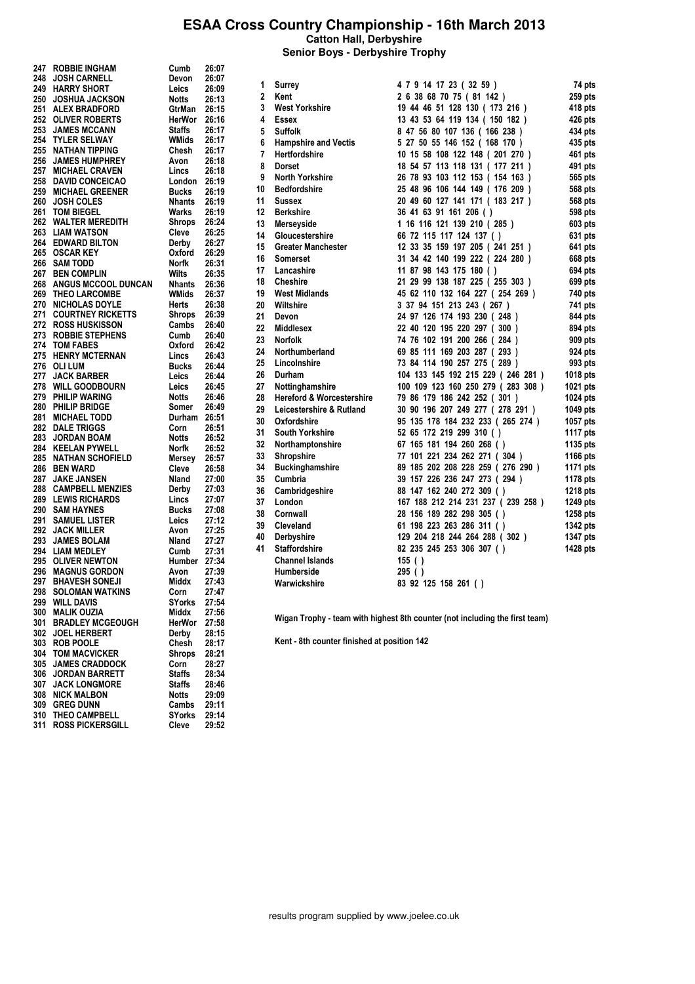**Senior Boys - Derbyshire Trophy**

| 247 | <b>ROBBIE INGHAM</b>       | Cumb                        | 26:07 |
|-----|----------------------------|-----------------------------|-------|
| 248 | <b>JOSH CARNELL</b>        | Devon                       | 26:07 |
| 249 | <b>HARRY SHORT</b>         | Leics                       | 26:09 |
| 250 | <b>JOSHUA JACKSON</b>      | Notts                       | 26:13 |
|     | 251 ALEX BRADFORD          | GtrMan                      | 26:15 |
|     |                            |                             |       |
| 252 | <b>OLIVER ROBERTS</b>      | HerWor 26:16                |       |
| 253 | <b>JAMES MCCANN</b>        | Staffs                      | 26:17 |
| 254 | <b>TYLER SELWAY</b>        | WMids                       | 26:17 |
| 255 | <b>NATHAN TIPPING</b>      | Chesh                       | 26:17 |
| 256 | <b>JAMES HUMPHREY</b>      | Avon                        | 26:18 |
|     |                            |                             |       |
| 257 | <b>MICHAEL CRAVEN</b>      | Lincs                       | 26:18 |
|     | <b>258 DAVID CONCEICAO</b> | London                      | 26:19 |
|     | 259 MICHAEL GREENER        | Bucks                       | 26:19 |
| 260 | <b>JOSH COLES</b>          | Nhants                      | 26:19 |
| 261 | <b>TOM BIEGEL</b>          | Warks                       | 26:19 |
|     | 262 WALTER MEREDITH        | Shrops                      | 26:24 |
|     |                            |                             |       |
|     | 263 LIAM WATSON            | Cleve 26:25                 |       |
|     | <b>264 EDWARD BILTON</b>   | Derby                       | 26:27 |
|     | 265 OSCAR KEY              | Oxford                      | 26:29 |
| 266 | <b>SAM TODD</b>            | Norfk                       | 26:31 |
|     | 267 BEN COMPLIN            | Wilts                       | 26:35 |
|     | 268 ANGUS MCCOOL DUNCAN    | Nhants                      | 26:36 |
|     |                            |                             |       |
|     | 269 THEO LARCOMBE          | WMids                       | 26:37 |
| 270 | <b>NICHOLAS DOYLE</b>      | Herts                       | 26:38 |
| 271 | <b>COURTNEY RICKETTS</b>   | Shrops 26:39<br>Cambs 26:40 |       |
| 272 | <b>ROSS HUSKISSON</b>      |                             |       |
|     | 273 ROBBIE STEPHENS        | Cumb                        | 26:40 |
|     |                            |                             |       |
| 274 | <b>TOM FABES</b>           | Oxford                      | 26:42 |
| 275 | <b>HENRY MCTERNAN</b>      | Lincs                       | 26:43 |
| 276 | <b>OLI LUM</b>             | <b>Bucks</b>                | 26:44 |
| 277 | <b>JACK BARBER</b>         | Leics                       | 26:44 |
|     | 278 WILL GOODBOURN         | Leics                       | 26:45 |
|     | 279 PHILIP WARING          | Notts                       | 26:46 |
|     |                            |                             |       |
|     | 280 PHILIP BRIDGE          | Somer 26:49                 |       |
|     | 281 MICHAEL TODD           | Durham 26:51                |       |
|     | 282 DALE TRIGGS            | Corn                        | 26:51 |
| 283 | <b>JORDAN BOAM</b>         | Notts                       | 26:52 |
|     | 284 KEELAN PYWELL          |                             |       |
|     | 285 NATHAN SCHOFIELD       | Norfk 26:52<br>Mersey 26:57 |       |
|     |                            |                             |       |
| 286 | <b>BEN WARD</b>            | Cleve<br>Nland              | 26:58 |
| 287 | <b>JAKE JANSEN</b>         |                             | 27:00 |
| 288 | <b>CAMPBELL MENZIES</b>    | Derby                       | 27:03 |
|     | 289 LEWIS RICHARDS         | Lincs                       | 27:07 |
|     | 290 SAM HAYNES             | Bucks                       | 27:08 |
| 291 | <b>SAMUEL LISTER</b>       |                             |       |
|     |                            | Leics                       | 27:12 |
| 292 | <b>JACK MILLER</b>         | Avon                        | 27:25 |
| 293 | <b>JAMES BOLAM</b>         | Nland                       | 27:27 |
|     | 294 LIAM MEDLEY            | Cumb                        | 27:31 |
|     | 295 OLIVER NEWTON          | Humber 27:34                |       |
| 296 | <b>MAGNUS GORDON</b>       | Avon                        | 27:39 |
|     | <b>BHAVESH SONEJI</b>      |                             | 27:43 |
| 297 |                            | Middx                       |       |
| 298 | <b>SOLOMAN WATKINS</b>     | Corn                        | 27:47 |
| 299 | <b>WILL DAVIS</b>          | SYorks                      | 27:54 |
| 300 | <b>MALIK OUZIA</b>         | Middx                       | 27:56 |
| 301 | <b>BRADLEY MCGEOUGH</b>    | HerWor                      | 27:58 |
| 302 | <b>JOEL HERBERT</b>        | Derby                       | 28:15 |
|     | <b>ROB POOLE</b>           | Chesh                       | 28:17 |
| 303 |                            |                             |       |
| 304 | <b>TOM MACVICKER</b>       | <b>Shrops</b>               | 28:21 |
| 305 | <b>JAMES CRADDOCK</b>      | Corn                        | 28:27 |
| 306 | <b>JORDAN BARRETT</b>      | Staffs                      | 28:34 |
| 307 | <b>JACK LONGMORE</b>       | <b>Staffs</b>               | 28:46 |
| 308 | <b>NICK MALBON</b>         | Notts                       | 29:09 |
|     |                            |                             |       |
| 309 | <b>GREG DUNN</b>           | Cambs                       | 29:11 |
| 310 | <b>THEO CAMPBELL</b>       | <b>SYorks</b>               | 29:14 |
| 311 | <b>ROSS PICKERSGILL</b>    | Cleve                       | 29:52 |
|     |                            |                             |       |

| 1              | Surrey                               | 4 7 9 14 17 23 (32 59 )           | 74 pts   |
|----------------|--------------------------------------|-----------------------------------|----------|
| $\overline{2}$ | Kent                                 | 2 6 38 68 70 75 (81 142 )         | 259 pts  |
| 3              | <b>West Yorkshire</b>                | 19 44 46 51 128 130 ( 173 216 )   | 418 pts  |
| 4              | Essex                                | 13 43 53 64 119 134 ( 150 182 )   | 426 pts  |
| 5              | <b>Suffolk</b>                       | 8 47 56 80 107 136 ( 166 238 )    | 434 pts  |
| 6              | <b>Hampshire and Vectis</b>          | 5 27 50 55 146 152 ( 168 170 )    | 435 pts  |
| $\overline{7}$ | Hertfordshire                        | 10 15 58 108 122 148 (201 270 )   | 461 pts  |
| 8              | <b>Dorset</b>                        | 18 54 57 113 118 131 ( 177 211 )  | 491 pts  |
| 9              | <b>North Yorkshire</b>               | 26 78 93 103 112 153 ( 154 163 )  | 565 pts  |
| 10             | <b>Bedfordshire</b>                  | 25 48 96 106 144 149 (176 209)    | 568 pts  |
| 11             | Sussex                               | 20 49 60 127 141 171 ( 183 217 )  | 568 pts  |
| 12             | <b>Berkshire</b>                     | 36 41 63 91 161 206 ()            | 598 pts  |
| 13             | Merseyside                           | 1 16 116 121 139 210 (285)        | 603 pts  |
| 14             | Gloucestershire                      | 66 72 115 117 124 137 ()          | 631 pts  |
| 15             | <b>Greater Manchester</b>            | 12 33 35 159 197 205 (241 251 )   | 641 pts  |
| 16             | <b>Somerset</b>                      | 31 34 42 140 199 222 (224 280)    | 668 pts  |
| 17             | Lancashire                           | 11 87 98 143 175 180 ()           | 694 pts  |
| 18             | <b>Cheshire</b>                      | 21 29 99 138 187 225 (255 303)    | 699 pts  |
| 19             | <b>West Midlands</b>                 | 45 62 110 132 164 227 (254 269)   | 740 pts  |
| 20             | Wiltshire                            | 3 37 94 151 213 243 (267)         | 741 pts  |
| 21             | Devon                                | 24 97 126 174 193 230 (248)       | 844 pts  |
| 22             | <b>Middlesex</b>                     | 22 40 120 195 220 297 (300)       | 894 pts  |
| 23             | <b>Norfolk</b>                       | 74 76 102 191 200 266 (284)       | 909 pts  |
| 24             | Northumberland                       | 69 85 111 169 203 287 (293)       | 924 pts  |
| 25             | Lincolnshire                         | 73 84 114 190 257 275 (289)       | 993 pts  |
| 26             | Durham                               | 104 133 145 192 215 229 (246 281) | 1018 pts |
| 27             | Nottinghamshire                      | 100 109 123 160 250 279 (283 308) | 1021 pts |
| 28             | <b>Hereford &amp; Worcestershire</b> | 79 86 179 186 242 252 (301)       | 1024 pts |
| 29             | Leicestershire & Rutland             | 30 90 196 207 249 277 (278 291)   | 1049 pts |
| 30             | Oxfordshire                          | 95 135 178 184 232 233 (265 274 ) | 1057 pts |
| 31             | <b>South Yorkshire</b>               | 52 65 172 219 299 310 ()          | 1117 pts |
| 32             | Northamptonshire                     | 67 165 181 194 260 268 ()         | 1135 pts |
| 33             | Shropshire                           | 77 101 221 234 262 271 (304)      | 1166 pts |
| 34             | <b>Buckinghamshire</b>               | 89 185 202 208 228 259 (276 290)  | 1171 pts |
| 35             | Cumbria                              | 39 157 226 236 247 273 (294)      | 1178 pts |
| 36             | Cambridgeshire                       | 88 147 162 240 272 309 ()         | 1218 pts |
| 37             | London                               | 167 188 212 214 231 237 (239 258) | 1249 pts |
| 38             | Cornwall                             | 28 156 189 282 298 305 ()         | 1258 pts |
| 39             | Cleveland                            | 61 198 223 263 286 311 ()         | 1342 pts |
| 40             | Derbyshire                           | 129 204 218 244 264 288 (302)     | 1347 pts |
| 41             | <b>Staffordshire</b>                 | 82 235 245 253 306 307 ()         | 1428 pts |
|                | <b>Channel Islands</b>               | 155()                             |          |
|                | <b>Humberside</b>                    | 295()                             |          |
|                | Warwickshire                         | 83 92 125 158 261 ()              |          |

Wigan Trophy - team with highest 8th counter (not including the first team)

Kent - 8th counter finished at position 142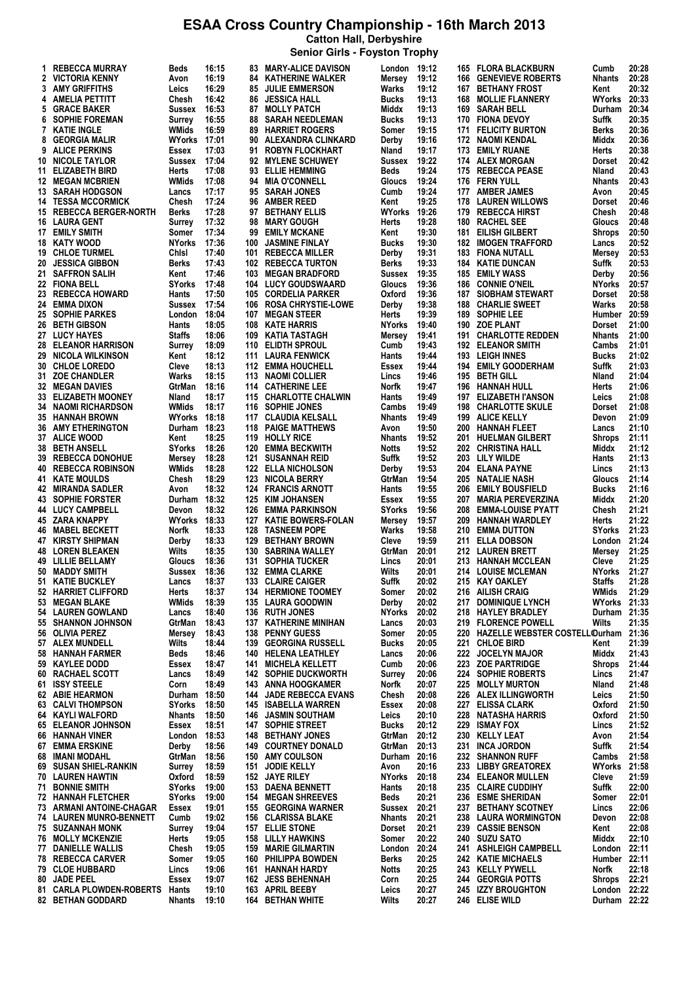**Catton Hall, Derbyshire Senior Girls - Foyston Trophy**

| 1. | <b>REBECCA MURRAY</b>                               | Beds                | 16:15          |            | <b>83 MARY-ALICE DAVISON</b>                     | London          | 19:12          |            | <b>165 FLORA BLACKBURN</b>                | Cumb                   | 20:28          |
|----|-----------------------------------------------------|---------------------|----------------|------------|--------------------------------------------------|-----------------|----------------|------------|-------------------------------------------|------------------------|----------------|
|    | 2 VICTORIA KENNY                                    | Avon                | 16:19          |            | <b>84 KATHERINE WALKER</b>                       | Mersey          | 19:12          | 166        | <b>GENEVIEVE ROBERTS</b>                  | <b>Nhants</b>          | 20:28          |
|    | 3 AMY GRIFFITHS                                     | Leics               | 16:29          |            | <b>85 JULIE EMMERSON</b>                         | Warks           | 19:12          | 167        | <b>BETHANY FROST</b>                      | Kent                   | 20:32          |
|    | 4 AMELIA PETTITT                                    | Chesh               | 16:42          |            | <b>86 JESSICA HALL</b>                           | Bucks           | 19:13          | 168        | <b>MOLLIE FLANNERY</b>                    | WYorks                 | 20:33          |
| 5  | <b>GRACE BAKER</b>                                  | <b>Sussex</b>       | 16:53          |            | 87 MOLLY PATCH                                   | Middx           | 19:13          | 169        | <b>SARAH BELL</b>                         | Durham                 | 20:34          |
| 6  | <b>SOPHIE FOREMAN</b>                               | Surrey              | 16:55          | 88         | <b>SARAH NEEDLEMAN</b>                           | Bucks           | 19:13          | 170        | <b>FIONA DEVOY</b>                        | Suffk                  | 20:35          |
| 7  | <b>KATIE INGLE</b>                                  | WMids               | 16:59          | 89         | <b>HARRIET ROGERS</b>                            | Somer           | 19:15          | 171        | <b>FELICITY BURTON</b>                    | <b>Berks</b>           | 20:36          |
| 8  | <b>GEORGIA MALIR</b>                                | WYorks 17:01        |                |            | 90 ALEXANDRA CLINKARD                            | Derby           | 19:16          | 172        | NAOMI KENDAL                              | Middx                  | 20:36          |
| 9  | <b>ALICE PERKINS</b>                                | Essex               | 17:03          | 91         | <b>ROBYN FLOCKHART</b>                           | Nland           | 19:17          | 173        | <b>EMILY RUANE</b>                        | Herts                  | 20:38          |
|    | 10 NICOLE TAYLOR<br>11 ELIZABETH BIRD               | Sussex              | 17:04<br>17:08 | 93         | 92 MYLENE SCHUWEY<br><b>ELLIE HEMMING</b>        | Sussex<br>Beds  | 19:22<br>19:24 | 175        | 174 ALEX MORGAN<br><b>REBECCA PEASE</b>   | <b>Dorset</b><br>Nland | 20:42<br>20:43 |
|    | <b>12 MEGAN MCBRIEN</b>                             | Herts<br>WMids      | 17:08          |            | 94 MIA O'CONNELL                                 | Gloucs          | 19:24          |            | 176 FERN YULL                             | <b>Nhants</b>          | 20:43          |
|    | 13 SARAH HODGSON                                    | Lancs               | 17:17          |            | 95 SARAH JONES                                   | Cumb            | 19:24          |            | 177 AMBER JAMES                           | Avon                   | 20:45          |
|    | <b>14 TESSA MCCORMICK</b>                           | Chesh               | 17:24          | 96         | <b>AMBER REED</b>                                | Kent            | 19:25          |            | <b>178 LAUREN WILLOWS</b>                 | Dorset                 | 20:46          |
|    | 15 REBECCA BERGER-NORTH                             | <b>Berks</b>        | 17:28          | 97         | <b>BETHANY ELLIS</b>                             | WYorks          | 19:26          | 179        | <b>REBECCA HIRST</b>                      | Chesh                  | 20:48          |
|    | <b>16 LAURA GENT</b>                                | Surrey              | 17:32          |            | 98 MARY GOUGH                                    | Herts           | 19:28          | 180        | <b>RACHEL SEE</b>                         | Gloucs                 | 20:48          |
|    | 17 EMILY SMITH                                      | Somer               | 17:34          | 99         | <b>EMILY MCKANE</b>                              | Kent            | 19:30          | 181        | EILISH GILBERT                            | Shrops                 | 20:50          |
|    | 18 KATY WOOD                                        | <b>NYorks</b>       | 17:36          | 100        | <b>JASMINE FINLAY</b>                            | Bucks           | 19:30          | 182        | <b>IMOGEN TRAFFORD</b>                    | Lancs                  | 20:52          |
|    | <b>19 CHLOE TURMEL</b>                              | Chisi               | 17:40          | 101        | <b>REBECCA MILLER</b>                            | Derby           | 19:31          | 183        | <b>FIONA NUTALL</b>                       | Mersey                 | 20:53          |
|    | 20 JESSICA GIBBON                                   | <b>Berks</b>        | 17:43          | 102        | <b>REBECCA TURTON</b>                            | Berks           | 19:33          | 184        | <b>KATIE DUNCAN</b>                       | Suffk                  | 20:53          |
|    | 21 SAFFRON SALIH                                    | Kent                | 17:46          | 103        | <b>MEGAN BRADFORD</b>                            | Sussex          | 19:35          | 185        | <b>EMILY WASS</b>                         | Derby                  | 20:56          |
|    | 22 FIONA BELL                                       | <b>SYorks</b>       | 17:48          | 104        | <b>LUCY GOUDSWAARD</b>                           | Gloucs          | 19:36          | 186        | <b>CONNIE O'NEIL</b>                      | <b>NYorks</b>          | 20:57          |
|    | 23 REBECCA HOWARD                                   | Hants               | 17:50          |            | 105 CORDELIA PARKER                              | Oxford          | 19:36          | 187        | <b>SIOBHAM STEWART</b>                    | Dorset                 | 20:58          |
|    | 24 EMMA DIXON                                       | <b>Sussex</b>       | 17:54          |            | 106 ROSA CHRYSTIE-LOWE                           | Derby           | 19:38          | 188        | <b>CHARLIE SWEET</b>                      | Warks                  | 20:58          |
|    | 25 SOPHIE PARKES                                    | London              | 18:04          | 107        | <b>MEGAN STEER</b>                               | Herts           | 19:39          | 189        | <b>SOPHIE LEE</b>                         | Humber 20:59           |                |
|    | 26 BETH GIBSON                                      | Hants               | 18:05          | 108        | <b>KATE HARRIS</b>                               | <b>NYorks</b>   | 19:40          | 190        | <b>ZOE PLANT</b>                          | Dorset                 | 21:00          |
|    | 27 LUCY HAYES                                       | <b>Staffs</b>       | 18:06          | 109        | KATIA TASTAGH                                    | Mersey          | 19:41          |            | 191 CHARLOTTE REDDEN                      | <b>Nhants</b>          | 21:00          |
|    | <b>28 ELEANOR HARRISON</b>                          | Surrey              | 18:09          | 110        | <b>ELIDTH SPROUL</b>                             | Cumb            | 19:43          | 192        | <b>ELEANOR SMITH</b>                      | Cambs                  | 21:01          |
|    | 29 NICOLA WILKINSON                                 | Kent                | 18:12          |            | 111 LAURA FENWICK                                | Hants           | 19:44          |            | 193 LEIGH INNES                           | <b>Bucks</b>           | 21:02          |
|    | 30 CHLOE LOREDO                                     | Cleve               | 18:13          | 112        | <b>EMMA HOUCHELL</b>                             | Essex           | 19:44          | 194        | <b>EMILY GOODERHAM</b>                    | Suffk                  | 21:03          |
|    | 31 ZOE CHANDLER                                     | Warks               | 18:15          |            | 113 NAOMI COLLIER                                | Lincs           | 19:46          | 195        | <b>BETH GILL</b>                          | Nland                  | 21:04          |
|    | <b>32 MEGAN DAVIES</b>                              | GtrMan              | 18:16          |            | 114 CATHERINE LEE                                | Norfk           | 19:47          | 196        | HANNAH HULL                               | Herts                  | 21:06          |
|    | 33 ELIZABETH MOONEY                                 | Nland               | 18:17          |            | 115 CHARLOTTE CHALWIN                            | Hants           | 19:49          | 197        | <b>ELIZABETH I'ANSON</b>                  | Leics                  | 21:08          |
|    | <b>34 NAOMI RICHARDSON</b>                          | WMids               | 18:17          | 116        | <b>SOPHIE JONES</b>                              | Cambs           | 19:49          | 198        | <b>CHARLOTTE SKULE</b>                    | Dorset                 | 21:08          |
|    | <b>35 HANNAH BROWN</b>                              | <b>WYorks</b>       | 18:18          | 117        | <b>CLAUDIA KELSALL</b>                           | Nhants          | 19:49          | 199        | <b>ALICE KELLY</b>                        | Devon                  | 21:09          |
|    | <b>36 AMY ETHERINGTON</b>                           | Durham 18:23        |                | 118        | <b>PAIGE MATTHEWS</b>                            | Avon            | 19:50          | 200        | <b>HANNAH FLEET</b>                       | Lancs                  | 21:10          |
|    | 37 ALICE WOOD                                       | Kent                | 18:25          | 119        | <b>HOLLY RICE</b>                                | <b>Nhants</b>   | 19:52          | 201        | <b>HUELMAN GILBERT</b>                    | <b>Shrops</b>          | 21:11          |
|    | 38 BETH ANSELL                                      | <b>SYorks</b>       | 18:26          | 120        | <b>EMMA BECKWITH</b>                             | <b>Notts</b>    | 19:52          | 202        | <b>CHRISTINA HALL</b>                     | Middx                  | 21:12<br>21:13 |
| 39 | <b>REBECCA DONOHUE</b>                              | Mersey              | 18:28          | 121        | <b>SUSANNAH REID</b>                             | Suffk           | 19:52          | 203        | <b>LILY WILDE</b>                         | Hants                  | 21:13          |
|    | <b>40 REBECCA ROBINSON</b><br><b>41 KATE MOULDS</b> | WMids               | 18:28<br>18:29 | 123        | <b>122 ELLA NICHOLSON</b><br><b>NICOLA BERRY</b> | Derby<br>GtrMan | 19:53<br>19:54 | 204<br>205 | <b>ELANA PAYNE</b><br>NATALIE NASH        | Lincs                  | 21:14          |
|    | 42 MIRANDA SADLER                                   | Chesh<br>Avon       | 18:32          |            | <b>124 FRANCIS ARNOTT</b>                        | Hants           | 19:55          | 206        | <b>EMILY BOUSFIELD</b>                    | Gloucs<br><b>Bucks</b> | 21:16          |
|    | 43 SOPHIE FORSTER                                   | Durham 18:32        |                |            | 125 KIM JOHANSEN                                 | Essex           | 19:55          | 207        | <b>MARIA PEREVERZINA</b>                  | Middx                  | 21:20          |
|    | 44 LUCY CAMPBELL                                    | Devon               | 18:32          |            | 126 EMMA PARKINSON                               | SYorks          | 19:56          | 208        | <b>EMMA-LOUISE PYATT</b>                  | Chesh                  | 21:21          |
|    | 45 ZARA KNAPPY                                      | <b>WYorks 18:33</b> |                |            | 127 KATIE BOWERS-FOLAN                           | Mersey          | 19:57          | 209        | <b>HANNAH WARDLEY</b>                     | Herts                  | 21:22          |
|    | 46 MABEL BECKETT                                    | Norfk               | 18:33          |            | <b>128 TASNEEM POPE</b>                          | Warks           | 19:58          | 210        | <b>EMMA DUTTON</b>                        | <b>SYorks</b>          | 21:23          |
|    | <b>47 KIRSTY SHIPMAN</b>                            | Derby               | 18:33          | 129        | <b>BETHANY BROWN</b>                             | Cleve           | 19:59          | 211        | <b>ELLA DOBSON</b>                        | London                 | 21:24          |
| 48 | <b>LOREN BLEAKEN</b>                                | Wilts               | 18:35          | 130        | <b>SABRINA WALLEY</b>                            | GtrMan          | 20:01          | 212        | <b>LAUREN BRETT</b>                       | Mersey                 | 21:25          |
|    | <b>49 LILLIE BELLAMY</b>                            | Gloucs              | 18:36          | 131        | <b>SOPHIA TUCKER</b>                             | Lincs           | 20:01          | 213        | <b>HANNAH MCCLEAN</b>                     | Cleve                  | 21:25          |
|    | 50 MADDY SMITH                                      | <b>Sussex</b>       | 18:36          |            | <b>132 EMMA CLARKE</b>                           | Wilts           | 20:01          |            | 214 LOUISE MCLEMAN                        | NYorks                 | 21:27          |
|    | 51 KATIE BUCKLEY                                    | Lancs               | 18:37          |            | <b>133 CLAIRE CAIGER</b>                         | Suffk           | 20:02          |            | 215 KAY OAKLEY                            | <b>Staffs</b>          | 21:28          |
|    | 52 HARRIET CLIFFORD                                 | Herts               | 18:37          |            | <b>134 HERMIONE TOOMEY</b>                       | Somer           | 20:02          |            | 216 AILISH CRAIG                          | WMids                  | 21:29          |
|    | 53 MEGAN BLAKE                                      | WMids               | 18:39          |            | 135 LAURA GOODWIN                                | Derby           | 20:02          | 217        | <b>DOMINIQUE LYNCH</b>                    | WYorks 21:33           |                |
|    | <b>54 LAUREN GOWLAND</b>                            | Lancs               | 18:40          |            | 136 RUTH JONES                                   | NYorks          | 20:02          | 218        | <b>HAYLEY BRADLEY</b>                     | Durham 21:35           |                |
|    | 55 SHANNON JOHNSON                                  | GtrMan              | 18:43          | 137        | <b>KATHERINE MINIHAN</b>                         | Lancs           | 20:03          |            | 219 FLORENCE POWELL                       | Wilts                  | 21:35          |
|    | 56 OLIVIA PEREZ                                     | Mersey              | 18:43          | 138        | <b>PENNY GUESS</b>                               | Somer           | 20:05          |            | 220 HAZELLE WEBSTER COSTELLOurham         |                        | 21:36          |
|    | 57 ALEX MUNDELL                                     | Wilts               | 18:44          | 139        | <b>GEORGINA RUSSELL</b>                          | Bucks           | 20:05          |            | 221 CHLOE BIRD                            | Kent                   | 21:39          |
|    | 58 HANNAH FARMER                                    | Beds                | 18:46          |            | 140 HELENA LEATHLEY                              | Lancs           | 20:06          | 222        | <b>JOCELYN MAJOR</b>                      | Middx                  | 21:43          |
|    | 59 KAYLEE DODD                                      | Essex               | 18:47          |            | <b>141 MICHELA KELLETT</b>                       | Cumb            | 20:06          |            | 223 ZOE PARTRIDGE                         | <b>Shrops</b>          | 21:44          |
|    | 60 RACHAEL SCOTT                                    | Lancs               | 18:49          |            | <b>142 SOPHIE DUCKWORTH</b>                      | Surrey          | 20:06          |            | 224 SOPHIE ROBERTS                        | Lincs                  | 21:47          |
|    | 61 ISSY STEELE                                      | Corn                | 18:49          | 143        | ANNA HOOGKAMER                                   | Norfk           | 20:07          |            | 225 MOLLY MURTON                          | Nland                  | 21:48          |
|    | 62 ABIE HEARMON                                     | Durham 18:50        |                | 144        | <b>JADE REBECCA EVANS</b>                        | Chesh           | 20:08          | 226        | <b>ALEX ILLINGWORTH</b>                   | Leics                  | 21:50          |
|    | <b>63 CALVI THOMPSON</b>                            | <b>SYorks</b>       | 18:50          |            | 145 ISABELLA WARREN                              | Essex           | 20:08          | 227        | <b>ELISSA CLARK</b>                       | Oxford                 | 21:50          |
|    | 64 KAYLI WALFORD                                    | <b>Nhants</b>       | 18:50          |            | <b>146 JASMIN SOUTHAM</b>                        | Leics           | 20:10          | 228        | <b>NATASHA HARRIS</b>                     | Oxford                 | 21:50          |
|    | <b>65 ELEANOR JOHNSON</b>                           | Essex               | 18:51          | 147        | <b>SOPHIE STREET</b>                             | Bucks           | 20:12          | 229        | <b>ISMAY FOX</b>                          | Lincs                  | 21:52          |
|    | 66 HANNAH VINER                                     | London 18:53        |                |            | <b>148 BETHANY JONES</b>                         | GtrMan          | 20:12          | 230        | <b>KELLY LEAT</b>                         | Avon                   | 21:54          |
| 67 | EMMA ERSKINE                                        | Derby               | 18:56          |            | <b>149 COURTNEY DONALD</b>                       | GtrMan          | 20:13          | 231        | <b>INCA JORDON</b>                        | Suffk                  | 21:54          |
|    | <b>68 IMANI MODAHL</b>                              | GtrMan              | 18:56          |            | 150 AMY COULSON                                  | Durham 20:16    |                | 232        | <b>SHANNON RUFF</b>                       | Cambs                  | 21:58          |
|    | 69 SUSAN SHIEL-RANKIN                               | Surrey              | 18:59          | 151        | <b>JODIE KELLY</b>                               | Avon            | 20:16          | 233        | <b>LIBBY GREATOREX</b>                    | <b>WYorks</b>          | 21:58          |
|    | <b>70 LAUREN HAWTIN</b>                             | Oxford              | 18:59          |            | 152 JAYE RILEY                                   | <b>NYorks</b>   | 20:18          |            | 234 ELEANOR MULLEN                        | Cleve                  | 21:59          |
|    | 71 BONNIE SMITH                                     | <b>SYorks</b>       | 19:00          |            | 153 DAENA BENNETT                                | Hants           | 20:18          |            | 235 CLAIRE CUDDIHY                        | Suffk                  | 22:00          |
|    | 72 HANNAH FLETCHER                                  | <b>SYorks</b>       | 19:00          |            | <b>154 MEGAN SHREEVES</b>                        | Beds            | 20:21          |            | 236 ESME SHERIDAN                         | Somer                  | 22:01          |
|    | 73 ARMANI ANTOINE-CHAGAR                            | Essex               | 19:01          |            | <b>155 GEORGINA WARNER</b>                       | Sussex          | 20:21          |            | 237 BETHANY SCOTNEY                       | Lincs                  | 22:06          |
|    | 74 LAUREN MUNRO-BENNETT                             | Cumb                | 19:02          |            | 156 CLARISSA BLAKE                               | Nhants          | 20:21          |            | 238 LAURA WORMINGTON                      | Devon                  | 22:08          |
|    | <b>75 SUZANNAH MONK</b>                             | <b>Surrey</b>       | 19:04          |            | <b>157 ELLIE STONE</b>                           | Dorset          | 20:21          | 239        | <b>CASSIE BENSON</b>                      | Kent                   | 22:08          |
|    | <b>76 MOLLY MCKENZIE</b><br>77 DANIELLE WALLIS      | Herts<br>Chesh      | 19:05<br>19:05 | 158<br>159 | LILLY HAWKINS<br><b>MARIE GILMARTIN</b>          | Somer<br>London | 20:22<br>20:24 | 240        | <b>SUZU SATO</b><br>241 ASHLEIGH CAMPBELL | Middx<br>London 22:11  | 22:10          |
|    | <b>78 REBECCA CARVER</b>                            | Somer               | 19:05          | 160        | <b>PHILIPPA BOWDEN</b>                           | Berks           | 20:25          |            | 242 KATIE MICHAELS                        | Humber 22:11           |                |
|    | 79 CLOE HUBBARD                                     | Lincs               | 19:06          |            | 161 HANNAH HARDY                                 | Notts           | 20:25          |            | 243 KELLY PYWELL                          | Norfk                  | 22:18          |
| 80 | <b>JADE PEEL</b>                                    | Essex               | 19:07          | 162        | <b>JESS BEHENNAH</b>                             | Corn            | 20:25          |            | 244 GEORGIA POTTS                         | Shrops                 | 22:21          |
|    | 81 CARLA PLOWDEN-ROBERTS                            | Hants               | 19:10          |            | 163 APRIL BEEBY                                  | Leics           | 20:27          |            | 245 IZZY BROUGHTON                        | London 22:22           |                |
|    | <b>82 BETHAN GODDARD</b>                            | <b>Nhants</b>       | 19:10          |            | <b>164 BETHAN WHITE</b>                          | <b>Wilts</b>    | 20:27          |            | 246 ELISE WILD                            | Durham 22:22           |                |
|    |                                                     |                     |                |            |                                                  |                 |                |            |                                           |                        |                |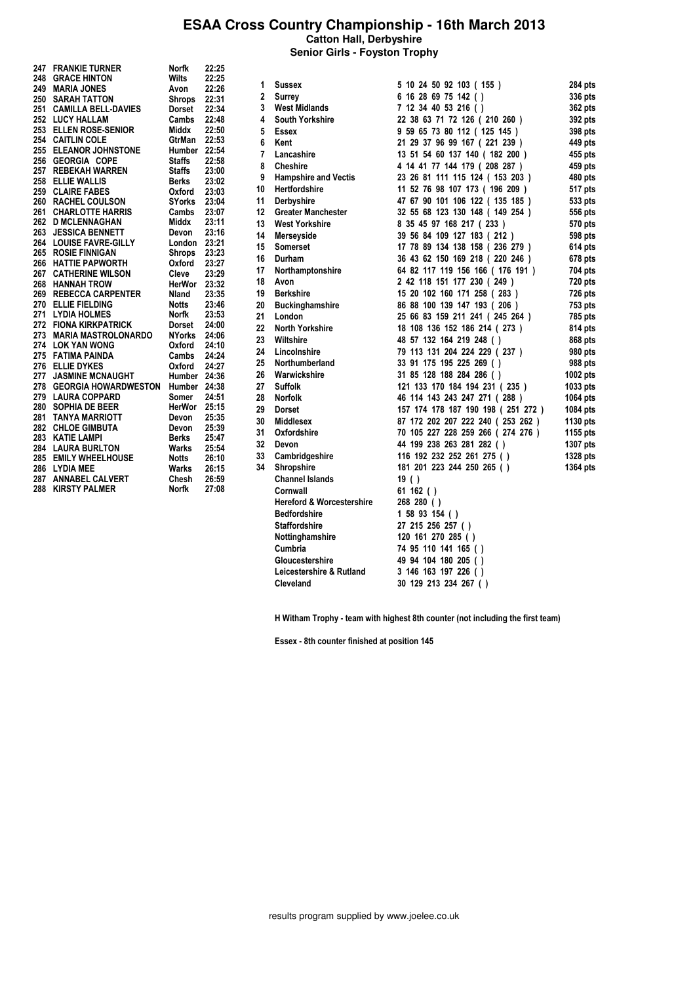**Senior Girls - Foyston Trophy**

| 247 - | <b>FRANKIE TURNER</b>       | Norfk         | 22:25 |
|-------|-----------------------------|---------------|-------|
| 248   | <b>GRACE HINTON</b>         | <b>Wilts</b>  | 22:25 |
| 249   | <b>MARIA JONES</b>          | Avon          | 22:26 |
| 250   | <b>SARAH TATTON</b>         | Shrops        | 22:31 |
| 251   | <b>CAMILLA BELL-DAVIES</b>  | Dorset        | 22:34 |
| 252   | <b>LUCY HALLAM</b>          | Cambs         | 22:48 |
| 253   | <b>ELLEN ROSE-SENIOR</b>    | Middx         | 22:50 |
| 254   | <b>CAITLIN COLE</b>         | GtrMan        | 22:53 |
| 255   | <b>ELEANOR JOHNSTONE</b>    | Humber        | 22:54 |
| 256   | <b>GEORGIA COPE</b>         | <b>Staffs</b> | 22:58 |
| 257   | <b>REBEKAH WARREN</b>       | Staffs        | 23:00 |
| 258   | <b>ELLIE WALLIS</b>         | Berks         | 23:02 |
| 259   | <b>CLAIRE FABES</b>         | Oxford        | 23:03 |
| 260   | <b>RACHEL COULSON</b>       | <b>SYorks</b> | 23:04 |
| 261   | <b>CHARLOTTE HARRIS</b>     | Cambs         | 23:07 |
| 262   | <b>D MCLENNAGHAN</b>        | Middx         | 23:11 |
| 263   | <b>JESSICA BENNETT</b>      | Devon         | 23:16 |
| 264   | <b>LOUISE FAVRE-GILLY</b>   | London        | 23:21 |
| 265   | <b>ROSIE FINNIGAN</b>       | Shrops        | 23:23 |
| 266   | <b>HATTIE PAPWORTH</b>      | Oxford        | 23:27 |
| 267   | <b>CATHERINE WILSON</b>     | Cleve         | 23:29 |
| 268   | <b>HANNAH TROW</b>          | HerWor        | 23:32 |
| 269   | <b>REBECCA CARPENTER</b>    | Nland         | 23:35 |
| 270   | <b>ELLIE FIELDING</b>       | Notts         | 23:46 |
| 271   | <b>LYDIA HOLMES</b>         | Norfk         | 23:53 |
| 272   | <b>FIONA KIRKPATRICK</b>    | Dorset        | 24:00 |
| 273   | <b>MARIA MASTROLONARDO</b>  | NYorks        | 24:06 |
| 274   | <b>LOK YAN WONG</b>         | Oxford        | 24:10 |
| 275   | <b>FATIMA PAINDA</b>        | Cambs         | 24:24 |
| 276   | <b>ELLIE DYKES</b>          | Oxford        | 24:27 |
| 277   | <b>JASMINE MCNAUGHT</b>     | Humber        | 24:36 |
| 278   | <b>GEORGIA HOWARDWESTON</b> | Humber        | 24:38 |
| 279   | <b>LAURA COPPARD</b>        | Somer         | 24:51 |
| 280   | <b>SOPHIA DE BEER</b>       | HerWor        | 25:15 |
| 281   | <b>TANYA MARRIOTT</b>       | Devon         | 25:35 |
| 282   | <b>CHLOE GIMBUTA</b>        | Devon         | 25:39 |
| 283   | <b>KATIE LAMPI</b>          | <b>Berks</b>  | 25:47 |
| 284   | <b>LAURA BURLTON</b>        | Warks         | 25:54 |
| 285   | <b>EMILY WHEELHOUSE</b>     | Notts         | 26:10 |
| 286   | <b>LYDIA MEE</b>            | Warks         | 26:15 |
|       | 287 ANNABEL CALVERT         | Chesh         | 26:59 |
| 288   | <b>KIRSTY PALMER</b>        | Norfk         | 27:08 |

| 1  | <b>Sussex</b>                        | 5 10 24 50 92 103 (155)            | 284 pts  |
|----|--------------------------------------|------------------------------------|----------|
| 2  | Surrey                               | 6 16 28 69 75 142 ()               | 336 pts  |
| 3  | <b>West Midlands</b>                 | 7 12 34 40 53 216 ()               | 362 pts  |
| 4  | <b>South Yorkshire</b>               | 22 38 63 71 72 126 (210 260 )      | 392 pts  |
| 5  | <b>Essex</b>                         | 9 59 65 73 80 112 (125 145)        | 398 pts  |
| 6  | Kent                                 | 21 29 37 96 99 167 (221 239 )      | 449 pts  |
| 7  | Lancashire                           | 13 51 54 60 137 140 (182 200)      | 455 pts  |
| 8  | <b>Cheshire</b>                      | 4 14 41 77 144 179 (208 287)       | 459 pts  |
| 9  | <b>Hampshire and Vectis</b>          | 23 26 81 111 115 124 ( 153 203 )   | 480 pts  |
| 10 | <b>Hertfordshire</b>                 | 11 52 76 98 107 173 ( 196 209 )    | 517 pts  |
| 11 | Derbyshire                           | 47 67 90 101 106 122 ( 135 185 )   | 533 pts  |
| 12 | <b>Greater Manchester</b>            | 32 55 68 123 130 148 ( 149 254 )   | 556 pts  |
| 13 | <b>West Yorkshire</b>                | 8 35 45 97 168 217 (233)           | 570 pts  |
| 14 | Merseyside                           | 39 56 84 109 127 183 (212)         | 598 pts  |
| 15 | <b>Somerset</b>                      | 17 78 89 134 138 158 (236 279 )    | 614 pts  |
| 16 | Durham                               | 36 43 62 150 169 218 (220 246 )    | 678 pts  |
| 17 | Northamptonshire                     | 64 82 117 119 156 166 ( 176 191 )  | 704 pts  |
| 18 | Avon                                 | 2 42 118 151 177 230 (249)         | 720 pts  |
| 19 | <b>Berkshire</b>                     | 15 20 102 160 171 258 (283)        | 726 pts  |
| 20 | <b>Buckinghamshire</b>               | 86 88 100 139 147 193 (206)        | 753 pts  |
| 21 | London                               | 25 66 83 159 211 241 (245 264 )    | 785 pts  |
| 22 | North Yorkshire                      | 18 108 136 152 186 214 (273)       | 814 pts  |
| 23 | Wiltshire                            | 48 57 132 164 219 248 ()           | 868 pts  |
| 24 | Lincolnshire                         | 79 113 131 204 224 229 (237)       | 980 pts  |
| 25 | Northumberland                       | 33 91 175 195 225 269 ()           | 988 pts  |
| 26 | Warwickshire                         | 31 85 128 188 284 286 ()           | 1002 pts |
| 27 | <b>Suffolk</b>                       | 121 133 170 184 194 231 (235)      | 1033 pts |
| 28 | <b>Norfolk</b>                       | 46 114 143 243 247 271 (288)       | 1064 pts |
| 29 | Dorset                               | 157 174 178 187 190 198 (251 272 ) | 1084 pts |
| 30 | <b>Middlesex</b>                     | 87 172 202 207 222 240 (253 262 )  | 1130 pts |
| 31 | Oxfordshire                          | 70 105 227 228 259 266 (274 276 )  | 1155 pts |
| 32 | Devon                                | 44 199 238 263 281 282 ()          | 1307 pts |
| 33 | Cambridgeshire                       | 116 192 232 252 261 275 ()         | 1328 pts |
| 34 | Shropshire                           | 181 201 223 244 250 265 ()         | 1364 pts |
|    | <b>Channel Islands</b>               | 19()                               |          |
|    | Cornwall                             | 61 162 $()$                        |          |
|    | <b>Hereford &amp; Worcestershire</b> | 268 280 ( )                        |          |
|    | <b>Bedfordshire</b>                  | 1 58 93 154 ()                     |          |
|    | <b>Staffordshire</b>                 | 27 215 256 257 ()                  |          |
|    | Nottinghamshire                      | 120 161 270 285 ()                 |          |
|    | Cumbria                              | 74 95 110 141 165 ()               |          |
|    | Gloucestershire                      | 49 94 104 180 205 ()               |          |
|    | Leicestershire & Rutland             | 3 146 163 197 226 ()               |          |
|    | Cleveland                            | 30 129 213 234 267 ()              |          |
|    |                                      |                                    |          |

H Witham Trophy - team with highest 8th counter (not including the first team)

Essex - 8th counter finished at position 145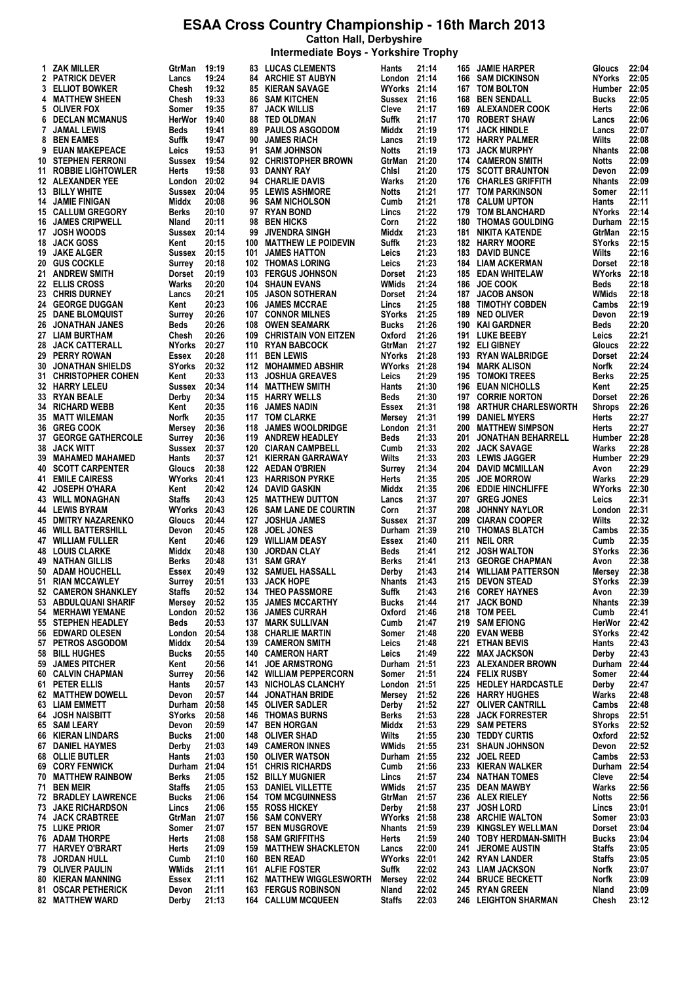**Intermediate Boys - Yorkshire Trophy**

|    | 1 ZAK MILLER                | GtrMan        | 19:19 |     | <b>83 LUCAS CLEMENTS</b>      | Hants               | 21:14 | 165 | <b>JAMIE HARPER</b>         | Gloucs        | 22:04 |
|----|-----------------------------|---------------|-------|-----|-------------------------------|---------------------|-------|-----|-----------------------------|---------------|-------|
|    | 2 PATRICK DEVER             | Lancs         | 19:24 |     | <b>84 ARCHIE ST AUBYN</b>     | London 21:14        |       | 166 | <b>SAM DICKINSON</b>        | <b>NYorks</b> | 22:05 |
|    | <b>3 ELLIOT BOWKER</b>      | Chesh         | 19:32 |     | <b>85 KIERAN SAVAGE</b>       | <b>WYorks 21:14</b> |       | 167 | <b>TOM BOLTON</b>           | Humber 22:05  |       |
|    | <b>4 MATTHEW SHEEN</b>      | Chesh         | 19:33 |     | <b>86 SAM KITCHEN</b>         | Sussex 21:16        |       | 168 | <b>BEN SENDALL</b>          | <b>Bucks</b>  | 22:05 |
|    | 5 OLIVER FOX                | Somer         | 19:35 | 87  | <b>JACK WILLIS</b>            | Cleve               | 21:17 | 169 | <b>ALEXANDER COOK</b>       | Herts         | 22:06 |
|    | <b>6 DECLAN MCMANUS</b>     | HerWor        | 19:40 |     | <b>88 TED OLDMAN</b>          | Suffk               | 21:17 |     | 170 ROBERT SHAW             |               | 22:06 |
|    |                             |               |       |     |                               |                     |       |     |                             | Lancs         |       |
| 7  | <b>JAMAL LEWIS</b>          | Beds          | 19:41 | 89  | <b>PAULOS ASGODOM</b>         | Middx               | 21:19 | 171 | <b>JACK HINDLE</b>          | Lancs         | 22:07 |
|    | 8 BEN EAMES                 | Suffk         | 19:47 | 90  | <b>JAMES RIACH</b>            | Lancs               | 21:19 |     | 172 HARRY PALMER            | Wilts         | 22:08 |
|    | 9 EUAN MAKEPEACE            | Leics         | 19:53 |     | 91 SAM JOHNSON                | <b>Notts</b>        | 21:19 | 173 | <b>JACK MURPHY</b>          | <b>Nhants</b> | 22:08 |
|    | <b>10 STEPHEN FERRONI</b>   | Sussex        | 19:54 |     | 92 CHRISTOPHER BROWN          | GtrMan              | 21:20 |     | 174 CAMERON SMITH           | Notts         | 22:09 |
|    | 11 ROBBIE LIGHTOWLER        | Herts         | 19:58 |     | 93 DANNY RAY                  | Chisi               | 21:20 |     | 175 SCOTT BRAUNTON          | Devon         | 22:09 |
|    | 12 ALEXANDER YEE            | London        | 20:02 |     | 94 CHARLIE DAVIS              | Warks               | 21:20 | 176 | <b>CHARLES GRIFFITH</b>     | Nhants        | 22:09 |
|    |                             |               |       |     |                               |                     |       |     |                             |               |       |
|    | 13 BILLY WHITE              | Sussex        | 20:04 |     | 95 LEWIS ASHMORE              | <b>Notts</b>        | 21:21 | 177 | <b>TOM PARKINSON</b>        | Somer         | 22:11 |
|    | <b>14 JAMIE FINIGAN</b>     | Middx         | 20:08 |     | 96 SAM NICHOLSON              | Cumb                | 21:21 | 178 | <b>CALUM UPTON</b>          | Hants         | 22:11 |
|    | <b>15 CALLUM GREGORY</b>    | Berks         | 20:10 |     | 97 RYAN BOND                  | Lincs               | 21:22 | 179 | <b>TOM BLANCHARD</b>        | NYorks        | 22:14 |
|    | <b>16 JAMES CRIPWELL</b>    | Nland         | 20:11 | 98  | <b>BEN HICKS</b>              | Corn                | 21:22 | 180 | <b>THOMAS GOULDING</b>      | Durham 22:15  |       |
|    | 17 JOSH WOODS               | Sussex        | 20:14 | 99  | JIVENDRA SINGH                | Middx               | 21:23 | 181 | <b>NIKITA KATENDE</b>       | GtrMan        | 22:15 |
|    | 18 JACK GOSS                | Kent          | 20:15 | 100 | <b>MATTHEW LE POIDEVIN</b>    | Suffk               | 21:23 | 182 | <b>HARRY MOORE</b>          | SYorks        | 22:15 |
|    | 19 JAKE ALGER               | Sussex 20:15  |       |     | 101 JAMES HATTON              | Leics               | 21:23 | 183 | <b>DAVID BUNCE</b>          | Wilts         | 22:16 |
|    |                             |               |       |     |                               |                     |       |     |                             |               |       |
|    | <b>20 GUS COCKLE</b>        | Surrey        | 20:18 |     | <b>102 THOMAS LORING</b>      | Leics               | 21:23 |     | 184 LIAM ACKERMAN           | Dorset        | 22:18 |
|    | 21 ANDREW SMITH             | Dorset        | 20:19 | 103 | <b>FERGUS JOHNSON</b>         | <b>Dorset</b>       | 21:23 |     | 185 EDAN WHITELAW           | WYorks 22:18  |       |
|    | 22 ELLIS CROSS              | Warks         | 20:20 | 104 | <b>SHAUN EVANS</b>            | <b>WMids</b>        | 21:24 | 186 | <b>JOE COOK</b>             | Beds          | 22:18 |
|    | 23 CHRIS DURNEY             | Lancs         | 20:21 | 105 | <b>JASON SOTHERAN</b>         | <b>Dorset</b>       | 21:24 | 187 | <b>JACOB ANSON</b>          | WMids         | 22:18 |
|    | <b>24 GEORGE DUGGAN</b>     | Kent          | 20:23 | 106 | <b>JAMES MCCRAE</b>           | Lincs               | 21:25 | 188 | <b>TIMOTHY COBDEN</b>       | Cambs         | 22:19 |
|    | <b>25 DANE BLOMQUIST</b>    | Surrey        | 20:26 |     | 107 CONNOR MILNES             | <b>SYorks</b>       | 21:25 | 189 | <b>NED OLIVER</b>           | Devon         | 22:19 |
|    |                             |               |       |     |                               |                     |       |     |                             |               |       |
|    | 26 JONATHAN JANES           | Beds          | 20:26 | 108 | <b>OWEN SEAMARK</b>           | <b>Bucks</b>        | 21:26 | 190 | <b>KAI GARDNER</b>          | Beds          | 22:20 |
|    | 27 LIAM BURTHAM             | Chesh         | 20:26 | 109 | <b>CHRISTAIN VON EITZEN</b>   | Oxford              | 21:26 |     | 191 LUKE BEEBY              | Leics         | 22:21 |
|    | 28 JACK CATTERALL           | <b>NYorks</b> | 20:27 |     | 110 RYAN BABCOCK              | GtrMan              | 21:27 |     | 192 ELI GIBNEY              | Gloucs        | 22:22 |
|    | 29 PERRY ROWAN              | Essex         | 20:28 | 111 | <b>BEN LEWIS</b>              | <b>NYorks</b>       | 21:28 | 193 | <b>RYAN WALBRIDGE</b>       | Dorset        | 22:24 |
|    | <b>30 JONATHAN SHIELDS</b>  | SYorks        | 20:32 | 112 | <b>MOHAMMED ABSHIR</b>        | <b>WYorks 21:28</b> |       | 194 | <b>MARK ALISON</b>          | Norfk         | 22:24 |
|    | 31 CHRISTOPHER COHEN        | Kent          | 20:33 | 113 | <b>JOSHUA GREAVES</b>         | Leics               | 21:29 | 195 | <b>TOMOKI TREES</b>         | <b>Berks</b>  | 22:25 |
|    |                             |               |       |     |                               |                     | 21:30 |     | <b>EUAN NICHOLLS</b>        |               | 22:25 |
|    | <b>32 HARRY LELEU</b>       | Sussex        | 20:34 |     | 114 MATTHEW SMITH             | Hants               |       | 196 |                             | Kent          |       |
|    | 33 RYAN BEALE               | Derby         | 20:34 | 115 | <b>HARRY WELLS</b>            | Beds                | 21:30 | 197 | <b>CORRIE NORTON</b>        | Dorset        | 22:26 |
|    | <b>34 RICHARD WEBB</b>      | Kent          | 20:35 |     | 116 JAMES NADIN               | Essex               | 21:31 | 198 | <b>ARTHUR CHARLESWORTH</b>  | Shrops        | 22:26 |
|    | <b>35 MATT WILEMAN</b>      | Norfk         | 20:35 |     | 117 TOM CLARKE                | Mersey              | 21:31 | 199 | <b>DANIEL MYERS</b>         | Herts         | 22:27 |
|    | 36 GREG COOK                | Mersey        | 20:36 | 118 | <b>JAMES WOOLDRIDGE</b>       | London 21:31        |       | 200 | <b>MATTHEW SIMPSON</b>      | Herts         | 22:27 |
|    | <b>37 GEORGE GATHERCOLE</b> | Surrey        | 20:36 | 119 | <b>ANDREW HEADLEY</b>         | Beds                | 21:33 | 201 | <b>JONATHAN BEHARRELL</b>   | Humber 22:28  |       |
|    | 38 JACK WITT                | Sussex        | 20:37 |     | 120 CIARAN CAMPBELL           | Cumb                | 21:33 |     | 202 JACK SAVAGE             | Warks         | 22:28 |
|    | 39 MAHAMED MAHAMED          | Hants         | 20:37 |     | 121 KIERRAN GARRAWAY          | Wilts               | 21:33 | 203 | <b>LEWIS JAGGER</b>         | Humber 22:29  |       |
|    |                             |               |       |     |                               |                     |       |     |                             |               |       |
|    | <b>40 SCOTT CARPENTER</b>   | Gloucs        | 20:38 |     | 122 AEDAN O'BRIEN             | Surrey              | 21:34 | 204 | <b>DAVID MCMILLAN</b>       | Avon          | 22:29 |
|    | <b>41 EMILE CAIRESS</b>     | WYorks 20:41  |       | 123 | <b>HARRISON PYRKE</b>         | Herts               | 21:35 | 205 | <b>JOE MORROW</b>           | Warks         | 22:29 |
|    | 42 JOSEPH O'HARA            | Kent          | 20:42 | 124 | DAVID GASKIN                  | Middx               | 21:35 | 206 | <b>EDDIE HINCHLIFFE</b>     | <b>WYorks</b> | 22:30 |
|    | <b>43 WILL MONAGHAN</b>     | <b>Staffs</b> | 20:43 | 125 | <b>MATTHEW DUTTON</b>         | Lancs               | 21:37 | 207 | <b>GREG JONES</b>           | Leics         | 22:31 |
|    | <b>44 LEWIS BYRAM</b>       | WYorks        | 20:43 | 126 | <b>SAM LANE DE COURTIN</b>    | Corn                | 21:37 | 208 | <b>JOHNNY NAYLOR</b>        | London        | 22:31 |
|    | <b>45 DMITRY NAZARENKO</b>  | Gloucs        | 20:44 | 127 | <b>JOSHUA JAMES</b>           | Sussex 21:37        |       | 209 | <b>CIARAN COOPER</b>        | Wilts         | 22:32 |
|    | <b>46 WILL BATTERSHILL</b>  | Devon         | 20:45 | 128 | <b>JOEL JONES</b>             | Durham 21:39        |       | 210 | <b>THOMAS BLATCH</b>        | Cambs         | 22:35 |
|    | <b>47 WILLIAM FULLER</b>    |               |       |     |                               |                     |       |     |                             |               |       |
|    |                             | Kent          | 20:46 | 129 | <b>WILLIAM DEASY</b>          | Essex               | 21:40 | 211 | <b>NEIL ORR</b>             | Cumb          | 22:35 |
|    | <b>48 LOUIS CLARKE</b>      | Middx         | 20:48 | 130 | <b>JORDAN CLAY</b>            | Beds                | 21:41 | 212 | <b>JOSH WALTON</b>          | SYorks        | 22:36 |
|    | <b>49 NATHAN GILLIS</b>     | Berks         | 20:48 |     | 131 SAM GRAY                  | Berks               | 21:41 |     | 213 GEORGE CHAPMAN          | Avon          | 22:38 |
|    | 50 ADAM HOUCHELL            | Essex         | 20:49 |     | <b>132 SAMUEL HASSALL</b>     | Derby               | 21:43 |     | 214 WILLIAM PATTERSON       | Mersey        | 22:38 |
| 51 | <b>RIAN MCCAWLEY</b>        | Surrey        | 20:51 |     | 133 JACK HOPE                 | <b>Nhants</b>       | 21:43 |     | 215 DEVON STEAD             | SYorks        | 22:39 |
|    | 52 CAMERON SHANKLEY         | <b>Staffs</b> | 20:52 | 134 | <b>THEO PASSMORE</b>          | Suffk               | 21:43 | 216 | <b>COREY HAYNES</b>         | Avon          | 22:39 |
|    | 53 ABDULQUANI SHARIF        | Mersey        | 20:52 | 135 | <b>JAMES MCCARTHY</b>         | <b>Bucks</b>        | 21:44 | 217 | <b>JACK BOND</b>            | <b>Nhants</b> | 22:39 |
|    | <b>54 MERHAWI YEMANE</b>    | London        | 20:52 | 136 | <b>JAMES CURRAH</b>           | Oxford              | 21:46 | 218 | <b>TOM PEEL</b>             | Cumb          | 22:41 |
|    | 55 STEPHEN HEADLEY          |               |       |     |                               |                     |       |     |                             |               |       |
|    |                             | Beds          | 20:53 | 137 | MARK SULLIVAN                 | Cumb                | 21:47 | 219 | <b>SAM EFIONG</b>           | HerWor        | 22:42 |
|    | 56 EDWARD OLESEN            | London        | 20:54 | 138 | <b>CHARLIE MARTIN</b>         | Somer               | 21:48 | 220 | <b>EVAN WEBB</b>            | SYorks        | 22:42 |
|    | 57 PETROS ASGODOM           | Middx         | 20:54 | 139 | <b>CAMERON SMITH</b>          | Leics               | 21:48 | 221 | <b>ETHAN BEVIS</b>          | Hants         | 22:43 |
|    | 58 BILL HUGHES              | <b>Bucks</b>  | 20:55 | 140 | <b>CAMERON HART</b>           | Leics               | 21:49 | 222 | <b>MAX JACKSON</b>          | Derby         | 22:43 |
| 59 | <b>JAMES PITCHER</b>        | Kent          | 20:56 | 141 | <b>JOE ARMSTRONG</b>          | Durham 21:51        |       | 223 | <b>ALEXANDER BROWN</b>      | Durham        | 22:44 |
|    | 60 CALVIN CHAPMAN           | Surrey        | 20:56 |     | <b>142 WILLIAM PEPPERCORN</b> | Somer               | 21:51 |     | 224 FELIX RUSBY             | Somer         | 22:44 |
| 61 | <b>PETER ELLIS</b>          | Hants         | 20:57 | 143 | <b>NICHOLAS CLANCHY</b>       | London 21:51        |       | 225 | <b>HEDLEY HARDCASTLE</b>    | Derby         | 22:47 |
|    | 62 MATTHEW DOWELL           | Devon         | 20:57 |     | <b>144 JONATHAN BRIDE</b>     | Mersey              | 21:52 | 226 | <b>HARRY HUGHES</b>         | Warks         | 22:48 |
|    |                             |               |       |     |                               |                     |       |     | <b>OLIVER CANTRILL</b>      |               |       |
|    | <b>63 LIAM EMMETT</b>       | Durham        | 20:58 | 145 | <b>OLIVER SADLER</b>          | Derby               | 21:52 | 227 |                             | Cambs         | 22:48 |
|    | 64 JOSH NAISBITT            | <b>SYorks</b> | 20:58 |     | <b>146 THOMAS BURNS</b>       | <b>Berks</b>        | 21:53 | 228 | <b>JACK FORRESTER</b>       | Shrops        | 22:51 |
|    | 65 SAM LEARY                | Devon         | 20:59 | 147 | <b>BEN HORGAN</b>             | Middx               | 21:53 | 229 | <b>SAM PETERS</b>           | SYorks        | 22:52 |
|    | <b>66 KIERAN LINDARS</b>    | <b>Bucks</b>  | 21:00 | 148 | <b>OLIVER SHAD</b>            | Wilts               | 21:55 | 230 | <b>TEDDY CURTIS</b>         | Oxford        | 22:52 |
| 67 | <b>DANIEL HAYMES</b>        | Derby         | 21:03 | 149 | <b>CAMERON INNES</b>          | WMids               | 21:55 | 231 | <b>SHAUN JOHNSON</b>        | Devon         | 22:52 |
|    | 68 OLLIE BUTLER             | Hants         | 21:03 | 150 | <b>OLIVER WATSON</b>          | Durham 21:55        |       | 232 | <b>JOEL REED</b>            | Cambs         | 22:53 |
|    | 69 CORY FENWICK             | Durham 21:04  |       | 151 | <b>CHRIS RICHARDS</b>         | Cumb                | 21:56 | 233 | <b>KIERAN WALKER</b>        | Durham        | 22:54 |
|    | <b>70 MATTHEW RAINBOW</b>   | Berks         | 21:05 | 152 | <b>BILLY MUGNIER</b>          | Lincs               | 21:57 | 234 | <b>NATHAN TOMES</b>         | Cleve         | 22:54 |
|    |                             |               |       |     |                               |                     |       |     |                             |               |       |
| 71 | <b>BEN MEIR</b>             | Staffs        | 21:05 | 153 | DANIEL VILLETTE               | <b>WMids</b>        | 21:57 | 235 | <b>DEAN MAWBY</b>           | Warks         | 22:56 |
|    | <b>72 BRADLEY LAWRENCE</b>  | <b>Bucks</b>  | 21:06 | 154 | <b>TOM MCGUINNESS</b>         | GtrMan              | 21:57 | 236 | <b>ALEX RIELEY</b>          | Notts         | 22:56 |
|    | <b>73 JAKE RICHARDSON</b>   | Lincs         | 21:06 | 155 | <b>ROSS HICKEY</b>            | Derby               | 21:58 | 237 | <b>JOSH LORD</b>            | Lincs         | 23:01 |
|    | <b>74 JACK CRABTREE</b>     | GtrMan        | 21:07 | 156 | <b>SAM CONVERY</b>            | WYorks 21:58        |       | 238 | <b>ARCHIE WALTON</b>        | Somer         | 23:03 |
|    | 75 LUKE PRIOR               | Somer         | 21:07 | 157 | <b>BEN MUSGROVE</b>           | <b>Nhants</b>       | 21:59 | 239 | <b>KINGSLEY WELLMAN</b>     | Dorset        | 23:04 |
|    | 76 ADAM THORPE              | Herts         | 21:08 | 158 | <b>SAM GRIFFITHS</b>          | Herts               | 21:59 | 240 | <b>TOBY HERDMAN-SMITH</b>   | <b>Bucks</b>  | 23:04 |
|    | 77 HARVEY O'BRART           | Herts         | 21:09 | 159 | <b>MATTHEW SHACKLETON</b>     | Lancs               | 22:00 | 241 | <b>JEROME AUSTIN</b>        | Staffs        | 23:05 |
|    |                             |               |       |     |                               |                     |       |     |                             |               |       |
|    | <b>78 JORDAN HULL</b>       | Cumb          | 21:10 | 160 | <b>BEN READ</b>               | <b>WYorks 22:01</b> |       | 242 | RYAN LANDER                 | Staffs        | 23:05 |
|    | 79 OLIVER PAULIN            | WMids         | 21:11 |     | 161 ALFIE FOSTER              | Suffk               | 22:02 | 243 | <b>LIAM JACKSON</b>         | Norfk         | 23:07 |
|    | <b>80 KIERAN MANNING</b>    | Essex         | 21:11 | 162 | <b>MATTHEW WIGGLESWORTH</b>   | Mersey              | 22:02 | 244 | <b>BRUCE BECKETT</b>        | Norfk         | 23:09 |
|    | 81 OSCAR PETHERICK          | Devon         | 21:11 |     | <b>163 FERGUS ROBINSON</b>    | Nland               | 22:02 | 245 | <b>RYAN GREEN</b>           | Nland         | 23:09 |
|    | <b>82 MATTHEW WARD</b>      | Derby         | 21:13 |     | <b>164 CALLUM MCQUEEN</b>     | <b>Staffs</b>       | 22:03 |     | <b>246 LEIGHTON SHARMAN</b> | Chesh         | 23:12 |
|    |                             |               |       |     |                               |                     |       |     |                             |               |       |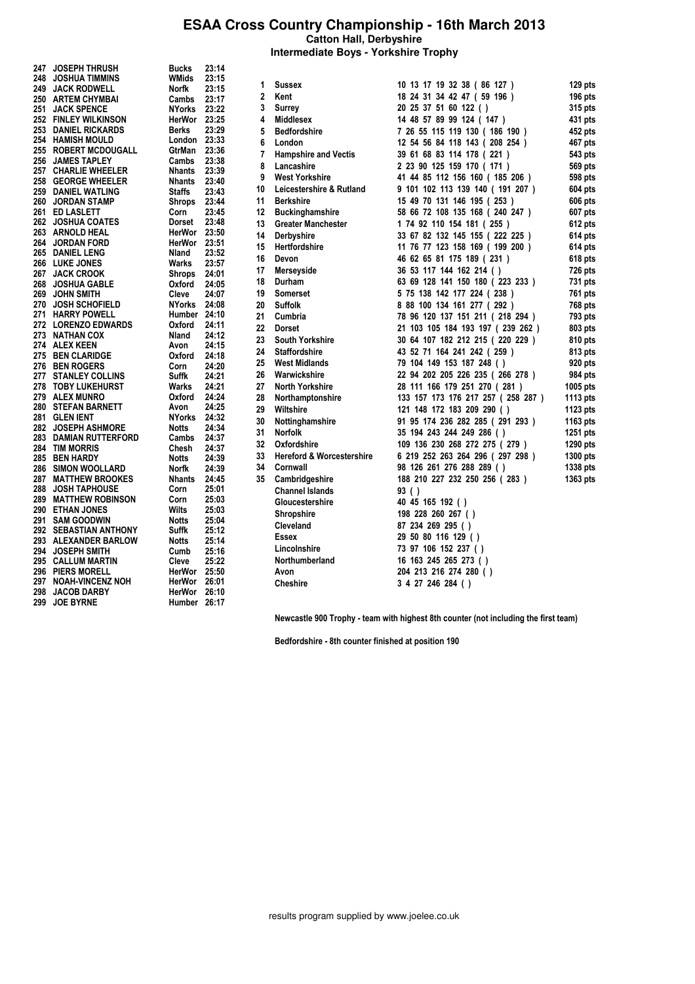**Intermediate Boys - Yorkshire Trophy**

| 247   JOSEPH THRUSH                     | Bucks            | 23:14          |    |                                      |                                    |          |
|-----------------------------------------|------------------|----------------|----|--------------------------------------|------------------------------------|----------|
| 248 JOSHUA TIMMINS                      | <b>WMids</b>     | 23:15          |    |                                      |                                    |          |
| 249 JACK RODWELL                        | Norfk            | 23:15          | 1  | <b>Sussex</b>                        | 10 13 17 19 32 38 (86 127 )        | 129 pts  |
| 250 ARTEM CHYMBAI                       | Cambs            | 23:17          | 2  | Kent                                 | 18 24 31 34 42 47 (59 196)         | 196 pts  |
| 251 JACK SPENCE                         | NYorks 23:22     |                | 3  | Surrey                               | 20 25 37 51 60 122 ()              | 315 pts  |
| 252 FINLEY WILKINSON                    | HerWor 23:25     |                | 4  | <b>Middlesex</b>                     | 14 48 57 89 99 124 (147)           | 431 pts  |
| 253 DANIEL RICKARDS                     | <b>Berks</b>     | 23:29          | 5  | <b>Bedfordshire</b>                  | 7 26 55 115 119 130 ( 186 190 )    | 452 pts  |
| 254   HAMISH MOULD                      | London $23:33$   |                | 6  | London                               | 12 54 56 84 118 143 (208 254)      | 467 pts  |
| <b>255 ROBERT MCDOUGALL</b>             | GtrMan           | 23:36          | 7  | <b>Hampshire and Vectis</b>          | 39 61 68 83 114 178 (221)          | 543 pts  |
| 256 JAMES TAPLEY<br>257 CHARLIE WHEELER | Cambs            | 23:38<br>23:39 | 8  | Lancashire                           | 2 23 90 125 159 170 ( 171 )        | 569 pts  |
| 258 GEORGE WHEELER                      | Nhants<br>Nhants | 23:40          | 9  | <b>West Yorkshire</b>                | 41 44 85 112 156 160 (185 206 )    | 598 pts  |
| 259 DANIEL WATLING                      | <b>Staffs</b>    | 23:43          | 10 | Leicestershire & Rutland             | 9 101 102 113 139 140 ( 191 207 )  | 604 pts  |
| 260 JORDAN STAMP                        | <b>Shrops</b>    | 23:44          | 11 | <b>Berkshire</b>                     | 15 49 70 131 146 195 (253)         | 606 pts  |
| 261 ED LASLETT                          | Corn             | 23:45          | 12 | Buckinghamshire                      | 58 66 72 108 135 168 (240 247 )    | 607 pts  |
| 262 JOSHUA COATES                       | Dorset           | 23:48          | 13 | <b>Greater Manchester</b>            | 1 74 92 110 154 181 (255)          | 612 pts  |
| 263   ARNOLD HEAL                       | HerWor 23:50     |                | 14 | <b>Derbyshire</b>                    |                                    |          |
| 264 JORDAN FORD                         | HerWor 23:51     |                |    |                                      | 33 67 82 132 145 155 (222 225 )    | 614 pts  |
| 265 DANIEL LENG                         | Nland            | 23:52          | 15 | Hertfordshire                        | 11 76 77 123 158 169 ( 199 200 )   | 614 pts  |
| <b>266 LUKE JONES</b>                   | Warks            | 23:57          | 16 | Devon                                | 46 62 65 81 175 189 (231)          | 618 pts  |
| 267 JACK CROOK                          | <b>Shrops</b>    | 24:01          | 17 | Merseyside                           | 36 53 117 144 162 214 ()           | 726 pts  |
| 268 JOSHUA GABLE                        | Oxford           | 24:05          | 18 | Durham                               | 63 69 128 141 150 180 (223 233 )   | 731 pts  |
| 269 JOHN SMITH                          | Cleve            | 24:07          | 19 | <b>Somerset</b>                      | 5 75 138 142 177 224 (238)         | 761 pts  |
| 270 JOSH SCHOFIELD                      | NYorks           | 24:08          | 20 | Suffolk                              | 8 88 100 134 161 277 (292)         | 768 pts  |
| 271 HARRY POWELL                        | Humber 24:10     |                | 21 | Cumbria                              | 78 96 120 137 151 211 (218 294 )   | 793 pts  |
| <b>272 LORENZO EDWARDS</b>              | Oxford           | 24:11          | 22 | <b>Dorset</b>                        | 21 103 105 184 193 197 (239 262 )  | 803 pts  |
| 273 NATHAN COX                          | Nland            | 24:12          | 23 | <b>South Yorkshire</b>               | 30 64 107 182 212 215 (220 229 )   | 810 pts  |
| 274 ALEX KEEN                           | Avon             | 24:15          | 24 | <b>Staffordshire</b>                 | 43 52 71 164 241 242 (259)         | 813 pts  |
| 275 BEN CLARIDGE                        | Oxford           | 24:18          | 25 | <b>West Midlands</b>                 | 79 104 149 153 187 248 ()          | 920 pts  |
| <b>276 BEN ROGERS</b>                   | Corn             | 24:20          | 26 | Warwickshire                         | 22 94 202 205 226 235 (266 278 )   | 984 pts  |
| 277 STANLEY COLLINS                     | Suffk            | 24:21          |    |                                      |                                    |          |
| 278 TOBY LUKEHURST                      | Warks            | 24:21          | 27 | <b>North Yorkshire</b>               | 28 111 166 179 251 270 (281)       | 1005 pts |
| 279   ALEX MUNRO<br>280 STEFAN BARNETT  | Oxford<br>Avon   | 24:24<br>24:25 | 28 | Northamptonshire                     | 133 157 173 176 217 257 (258 287 ) | 1113 pts |
| 281   GLEN IENT                         | NYorks 24:32     |                | 29 | Wiltshire                            | 121 148 172 183 209 290 ()         | 1123 pts |
| 282 JOSEPH ASHMORE                      | <b>Notts</b>     | 24:34          | 30 | Nottinghamshire                      | 91 95 174 236 282 285 (291 293 )   | 1163 pts |
| 283   DAMIAN RUTTERFORD                 | Cambs            | 24:37          | 31 | Norfolk                              | 35 194 243 244 249 286 ()          | 1251 pts |
| 284   TIM MORRIS                        | Chesh            | 24:37          | 32 | Oxfordshire                          | 109 136 230 268 272 275 (279)      | 1290 pts |
| 285 BEN HARDY                           | <b>Notts</b>     | 24:39          | 33 | <b>Hereford &amp; Worcestershire</b> | 6 219 252 263 264 296 (297 298 )   | 1300 pts |
| 286 SIMON WOOLLARD                      | Norfk            | 24:39          | 34 | Cornwall                             | 98 126 261 276 288 289 ()          | 1338 pts |
| 287 MATTHEW BROOKES                     | Nhants           | 24:45          | 35 | Cambridgeshire                       | 188 210 227 232 250 256 (283)      | 1363 pts |
| 288 JOSH TAPHOUSE                       | Corn             | 25:01          |    | <b>Channel Islands</b>               | 93 ( )                             |          |
| 289 MATTHEW ROBINSON                    | Corn             | 25:03          |    | Gloucestershire                      | 40 45 165 192 ( )                  |          |
| 290 ETHAN JONES                         | Wilts            | 25:03          |    | Shropshire                           | 198 228 260 267 ()                 |          |
| 291   SAM GOODWIN                       | <b>Notts</b>     | 25:04          |    | Cleveland                            | 87 234 269 295 ()                  |          |
| 292   SEBASTIAN ANTHONY                 | Suffk            | 25:12          |    | Essex                                | 29 50 80 116 129 ()                |          |
| 293 ALEXANDER BARLOW                    | <b>Notts</b>     | 25:14          |    |                                      |                                    |          |
| 294 JOSEPH SMITH                        | Cumb             | 25:16          |    | Lincolnshire                         | 73 97 106 152 237 ()               |          |
| 295 CALLUM MARTIN                       | Cleve            | 25:22          |    | Northumberland                       | 16 163 245 265 273 ()              |          |
| 296 PIERS MORELL                        | HerWor           | 25:50          |    | Avon                                 | 204 213 216 274 280 ()             |          |
| 297 NOAH-VINCENZ NOH                    | HerWor 26:01     |                |    | <b>Cheshire</b>                      | 3 4 27 246 284 ( )                 |          |
| 298 JACOB DARBY                         | HerWor 26:10     |                |    |                                      |                                    |          |
| 299 JOE BYRNE                           | Humber 26:17     |                |    |                                      |                                    |          |

Newcastle 900 Trophy - team with highest 8th counter (not including the first team)

Bedfordshire - 8th counter finished at position 190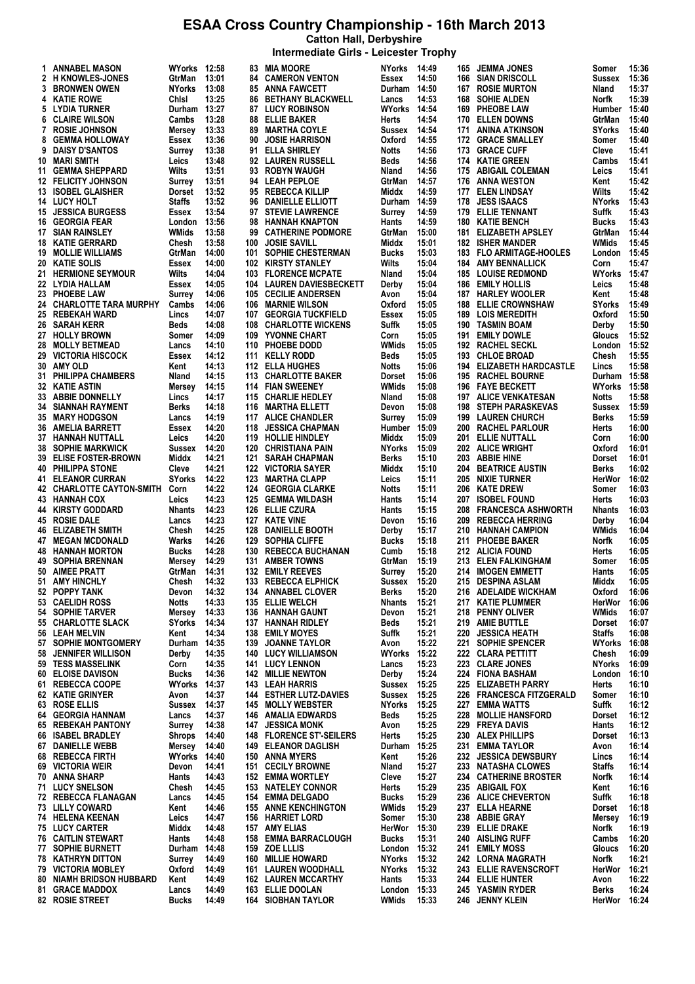**Catton Hall, Derbyshire**

| Intermediate Girls - Leicester Trophy |  |  |  |  |
|---------------------------------------|--|--|--|--|
|---------------------------------------|--|--|--|--|

|    | 1 ANNABEL MASON                                     | WYorks 12:58            |                |     | 83 MIA MOORE                                  | <b>NYorks</b>         | 14:49          |            | 165 JEMMA JONES                             | Somer                  | 15:36          |
|----|-----------------------------------------------------|-------------------------|----------------|-----|-----------------------------------------------|-----------------------|----------------|------------|---------------------------------------------|------------------------|----------------|
|    | 2 H KNOWLES-JONES                                   | GtrMan                  | 13:01          |     | <b>84 CAMERON VENTON</b>                      | Essex                 | 14:50          | 166        | <b>SIAN DRISCOLL</b>                        | Sussex                 | 15:36          |
|    | <b>3 BRONWEN OWEN</b>                               | <b>NYorks</b>           | 13:08          |     | <b>85 ANNA FAWCETT</b>                        | Durham 14:50          |                | 167        | <b>ROSIE MURTON</b>                         | Nland                  | 15:37          |
|    | 4 KATIE ROWE                                        | Chisi                   | 13:25          |     | <b>86 BETHANY BLACKWELL</b>                   | Lancs                 | 14:53          | 168        | <b>SOHIE ALDEN</b>                          | Norfk                  | 15:39          |
|    | 5 LYDIA TURNER                                      | Durham 13:27            |                |     | <b>87 LUCY ROBINSON</b>                       | <b>WYorks 14:54</b>   |                | 169        | <b>PHEOBE LAW</b>                           | Humber 15:40           |                |
|    | <b>6 CLAIRE WILSON</b>                              | Cambs                   | 13:28          | 88  | <b>ELLIE BAKER</b>                            | Herts                 | 14:54          | 170        | <b>ELLEN DOWNS</b>                          | GtrMan                 | 15:40          |
|    | 7 ROSIE JOHNSON                                     | Mersey                  | 13:33          | 89  | <b>MARTHA COYLE</b>                           | Sussex                | 14:54          | 171        | <b>ANINA ATKINSON</b>                       | SYorks                 | 15:40          |
| 8  | <b>GEMMA HOLLOWAY</b>                               | Essex                   | 13:36          | 90  | <b>JOSIE HARRISON</b>                         | Oxford                | 14:55          |            | 172 GRACE SMALLEY                           | Somer                  | 15:40          |
| 9  | <b>DAISY D'SANTOS</b>                               | Surrey                  | 13:38          |     | 91 ELLA SHIRLEY                               | Notts                 | 14:56          | 173        | <b>GRACE CUFF</b>                           | Cleve                  | 15:41          |
|    | 10 MARI SMITH                                       | Leics                   | 13:48          |     | 92 LAUREN RUSSELL                             | Beds                  | 14:56          |            | 174 KATIE GREEN                             | Cambs                  | 15:41          |
|    | 11 GEMMA SHEPPARD                                   | Wilts                   | 13:51          |     | 93 ROBYN WAUGH                                | Nland                 | 14:56          | 175        | <b>ABIGAIL COLEMAN</b>                      | Leics                  | 15:41          |
|    | <b>12 FELICITY JOHNSON</b>                          | Surrey                  | 13:51          |     | 94 LEAH PEPLOE<br>95 REBECCA KILLIP           | GtrMan                | 14:57          | 176        | ANNA WESTON                                 | Kent                   | 15:42          |
|    | 13 ISOBEL GLAISHER<br>14 LUCY HOLT                  | Dorset<br><b>Staffs</b> | 13:52<br>13:52 |     | 96 DANIELLE ELLIOTT                           | Middx<br>Durham 14:59 | 14:59          | 177<br>178 | <b>ELEN LINDSAY</b><br><b>JESS ISAACS</b>   | Wilts<br><b>NYorks</b> | 15:42<br>15:43 |
|    | <b>15 JESSICA BURGESS</b>                           | Essex                   | 13:54          |     | 97 STEVIE LAWRENCE                            |                       | 14:59          | 179        | <b>ELLIE TENNANT</b>                        | Suffk                  | 15:43          |
|    | <b>16 GEORGIA FEAR</b>                              | London                  | 13:56          |     | 98 HANNAH KNAPTON                             | Surrey<br>Hants       | 14:59          | 180        | <b>KATIE BENCH</b>                          | Bucks                  | 15:43          |
|    | <b>17 SIAN RAINSLEY</b>                             | WMids                   | 13:58          | 99  | <b>CATHERINE PODMORE</b>                      | GtrMan                | 15:00          | 181        | <b>ELIZABETH APSLEY</b>                     | GtrMan                 | 15:44          |
|    | <b>18 KATIE GERRARD</b>                             | Chesh                   | 13:58          | 100 | <b>JOSIE SAVILL</b>                           | Middx                 | 15:01          |            | <b>182 ISHER MANDER</b>                     | WMids                  | 15:45          |
|    | <b>19 MOLLIE WILLIAMS</b>                           | GtrMan                  | 14:00          | 101 | SOPHIE CHESTERMAN                             | Bucks                 | 15:03          | 183        | <b>FLO ARMITAGE-HOOLES</b>                  | London                 | 15:45          |
|    | 20 KATIE SOLIS                                      | Essex                   | 14:00          |     | 102 KIRSTY STANLEY                            | Wilts                 | 15:04          | 184        | <b>AMY BENNALLICK</b>                       | Corn                   | 15:47          |
|    | 21 HERMIONE SEYMOUR                                 | Wilts                   | 14:04          |     | 103 FLORENCE MCPATE                           | Nland                 | 15:04          | 185        | <b>LOUISE REDMOND</b>                       | <b>WYorks</b>          | 15:47          |
|    | 22 LYDIA HALLAM                                     | Essex                   | 14:05          | 104 | <b>LAUREN DAVIESBECKETT</b>                   | Derby                 | 15:04          | 186        | <b>EMILY HOLLIS</b>                         | Leics                  | 15:48          |
|    | 23 PHOEBE LAW                                       | Surrey                  | 14:06          |     | <b>105 CECILIE ANDERSEN</b>                   | Avon                  | 15:04          | 187        | <b>HARLEY WOOLER</b>                        | Kent                   | 15:48          |
|    | 24 CHARLOTTE TARA MURPHY                            | Cambs                   | 14:06          | 106 | <b>MARNIE WILSON</b>                          | Oxford                | 15:05          | 188        | <b>ELLIE CROWNSHAW</b>                      | SYorks                 | 15:49          |
|    | 25 REBEKAH WARD                                     | Lincs                   | 14:07          |     | 107 GEORGIA TUCKFIELD                         | Essex                 | 15:05          | 189        | <b>LOIS MEREDITH</b>                        | Oxford                 | 15:50          |
|    | <b>26 SARAH KERR</b>                                | Beds                    | 14:08          | 108 | <b>CHARLOTTE WICKENS</b>                      | Suffk                 | 15:05          | 190        | <b>TASMIN BOAM</b>                          | Derby                  | 15:50          |
|    | 27 HOLLY BROWN                                      | Somer                   | 14:09          |     | 109 YVONNE CHART                              | Corn                  | 15:05          | 191        | <b>EMILY DOWLE</b>                          | Gloucs                 | 15:52          |
| 28 | <b>MOLLY BETMEAD</b>                                | Lancs                   | 14:10          |     | 110 PHOEBE DODD                               | WMids                 | 15:05          |            | 192 RACHEL SECKL                            | London                 | 15:52          |
|    | 29 VICTORIA HISCOCK                                 | Essex                   | 14:12          |     | 111 KELLY RODD                                | Beds                  | 15:05          | 193        | <b>CHLOE BROAD</b>                          | Chesh                  | 15:55          |
|    | 30 AMY OLD                                          | Kent                    | 14:13          |     | 112 ELLA HUGHES                               | Notts                 | 15:06          | 194        | <b>ELIZABETH HARDCASTLE</b>                 | Lincs                  | 15:58          |
|    | 31 PHILIPPA CHAMBERS                                | Nland                   | 14:15          |     | 113 CHARLOTTE BAKER                           | Dorset                | 15:06          |            | <b>195 RACHEL BOURNE</b>                    | Durham 15:58           |                |
|    | <b>32 KATIE ASTIN</b>                               | Mersey                  | 14:15          |     | 114 FIAN SWEENEY                              | WMids                 | 15:08          | 196        | <b>FAYE BECKETT</b>                         | <b>WYorks</b>          | 15:58          |
|    | 33 ABBIE DONNELLY                                   | Lincs                   | 14:17          |     | 115 CHARLIE HEDLEY                            | Nland                 | 15:08          |            | <b>197 ALICE VENKATESAN</b>                 | Notts                  | 15:58          |
|    | <b>34 SIANNAH RAYMENT</b>                           | <b>Berks</b>            | 14:18          |     | 116 MARTHA ELLETT                             | Devon                 | 15:08          | 198        | <b>STEPH PARASKEVAS</b>                     | Sussex                 | 15:59          |
|    | <b>35 MARY HODGSON</b>                              | Lancs                   | 14:19          |     | 117 ALICE CHANDLER                            | Surrey                | 15:09          | 199        | <b>LAUREN CHURCH</b>                        | Berks                  | 15:59          |
|    | <b>36 AMELIA BARRETT</b>                            | Essex                   | 14:20          | 118 | <b>JESSICA CHAPMAN</b>                        | Humber 15:09          |                | 200        | <b>RACHEL PARLOUR</b>                       | Herts                  | 16:00          |
|    | 37 HANNAH NUTTALL                                   | Leics                   | 14:20          |     | 119 HOLLIE HINDLEY                            | Middx                 | 15:09          | 201        | ELLIE NUTTALL                               | Corn                   | 16:00          |
|    | <b>38 SOPHIE MARKWICK</b>                           | Sussex                  | 14:20          |     | 120 CHRISTIANA PAIN                           | NYorks                | 15:09          | 202        | <b>ALICE WRIGHT</b>                         | Oxford                 | 16:01          |
|    | <b>39 ELISE FOSTER-BROWN</b>                        | Middx                   | 14:21          | 121 | <b>SARAH CHAPMAN</b>                          | Berks                 | 15:10          | 203        | <b>ABBIE HINE</b>                           | Dorset                 | 16:01          |
|    | <b>40 PHILIPPA STONE</b>                            | Cleve                   | 14:21          |     | 122 VICTORIA SAYER                            | Middx                 | 15:10          | 204        | <b>BEATRICE AUSTIN</b>                      | Berks                  | 16:02          |
|    | <b>41 ELEANOR CURRAN</b>                            | <b>SYorks</b>           | 14:22          | 123 | <b>MARTHA CLAPP</b>                           | Leics                 | 15:11          | 205        | NIXIE TURNER                                | HerWor                 | 16:02          |
|    | 42 CHARLOTTE CAYTON-SMITH                           | Corn                    | 14:22          |     | <b>124 GEORGIA CLARKE</b>                     | Notts                 | 15:11          | 206        | <b>KATE DREW</b>                            | Somer                  | 16:03          |
|    | 43 HANNAH COX                                       | Leics                   | 14:23          |     | 125 GEMMA WILDASH                             | Hants                 | 15:14          | 207        | <b>ISOBEL FOUND</b>                         | Herts                  | 16:03          |
|    | <b>44 KIRSTY GODDARD</b>                            | <b>Nhants</b>           | 14:23          |     | 126 ELLIE CZURA                               | Hants                 | 15:15          | 208        | <b>FRANCESCA ASHWORTH</b>                   | <b>Nhants</b>          | 16:03          |
|    | <b>45 ROSIE DALE</b>                                | Lancs                   | 14:23          |     | 127 KATE VINE                                 | Devon                 | 15:16          | 209        | <b>REBECCA HERRING</b>                      | Derby                  | 16:04          |
|    | <b>46 ELIZABETH SMITH</b>                           | Chesh                   | 14:25          |     | 128 DANIELLE BOOTH                            | Derby                 | 15:17          |            | 210 HANNAH CAMPION                          | WMids                  | 16:04          |
|    | <b>47 MEGAN MCDONALD</b>                            | Warks                   | 14:26          |     | 129 SOPHIA CLIFFE                             | <b>Bucks</b>          | 15:18          | 211        | <b>PHOEBE BAKER</b>                         | Norfk                  | 16:05          |
|    | <b>48 HANNAH MORTON</b><br><b>49 SOPHIA BRENNAN</b> | <b>Bucks</b>            | 14:28          |     | 130 REBECCA BUCHANAN                          | Cumb                  | 15:18          |            | 212 ALICIA FOUND                            | Herts                  | 16:05          |
|    | 50 AIMEE PRATT                                      | Mersey<br>GtrMan        | 14:29<br>14:31 |     | 131 AMBER TOWNS<br>132 EMILY REEVES           | GtrMan<br>Surrey      | 15:19<br>15:20 | 213        | <b>ELEN FALKINGHAM</b><br>214 IMOGEN EMMETT | Somer<br>Hants         | 16:05<br>16:05 |
|    | 51 AMY HINCHLY                                      | Chesh                   | 14:32          |     | 133 REBECCA ELPHICK                           | Sussex 15:20          |                |            | 215 DESPINA ASLAM                           | Middx                  | 16:05          |
|    | 52 POPPY TANK                                       | Devon                   | 14:32          |     | 134 ANNABEL CLOVER                            | Berks                 | 15:20          |            | 216 ADELAIDE WICKHAM                        | Oxford                 | 16:06          |
|    | 53 CAELIDH ROSS                                     | <b>Notts</b>            | 14:33          |     | 135 ELLIE WELCH                               | Nhants                | 15:21          |            | 217 KATIE PLUMMER                           | HerWor                 | 16:06          |
|    | 54 SOPHIE TARVER                                    | Mersev                  | 14:33          | 136 | HANNAH GAUNT                                  | Devon                 | 15:21          | 218        | <b>PENNY OLIVER</b>                         | WMids                  | 16:07          |
|    | 55 CHARLOTTE SLACK                                  | <b>SYorks</b>           | 14:34          | 137 | HANNAH RIDLEY                                 | Beds                  | 15:21          |            | 219 AMIE BUTTLE                             | Dorset                 | 16:07          |
|    | 56 LEAH MELVIN                                      | Kent                    | 14:34          | 138 | <b>EMILY MOYES</b>                            | Suffk                 | 15:21          | 220        | <b>JESSICA HEATH</b>                        | <b>Staffs</b>          | 16:08          |
|    | 57 SOPHIE MONTGOMERY                                | Durham 14:35            |                | 139 | <b>JOANNE TAYLOR</b>                          | Avon                  | 15:22          | 221        | <b>SOPHIE SPENCER</b>                       | WYorks                 | 16:08          |
| 58 | <b>JENNIFER WILLISON</b>                            | Derby                   | 14:35          |     | <b>140 LUCY WILLIAMSON</b>                    | <b>WYorks 15:22</b>   |                |            | 222 CLARA PETTITT                           | Chesh                  | 16:09          |
|    | 59 TESS MASSELINK                                   | Corn                    | 14:35          |     | <b>141 LUCY LENNON</b>                        | Lancs                 | 15:23          |            | 223 CLARE JONES                             | NYorks                 | 16:09          |
|    | <b>60 ELOISE DAVISON</b>                            | <b>Bucks</b>            | 14:36          |     | <b>142 MILLIE NEWTON</b>                      | Derby                 | 15:24          | 224        | <b>FIONA BASHAM</b>                         | London                 | 16:10          |
|    | 61 REBECCA COOPE                                    | <b>WYorks 14:37</b>     |                |     | <b>143 LEAH HARRIS</b>                        | Sussex                | 15:25          | 225        | <b>ELIZABETH PARRY</b>                      | Herts                  | 16:10          |
|    | <b>62 KATIE GRINYER</b>                             | Avon                    | 14:37          |     | <b>144 ESTHER LUTZ-DAVIES</b>                 | Sussex                | 15:25          | 226        | <b>FRANCESCA FITZGERALD</b>                 | Somer                  | 16:10          |
|    | 63 ROSE ELLIS                                       | Sussex                  | 14:37          |     | <b>145 MOLLY WEBSTER</b>                      | NYorks                | 15:25          | 227        | <b>EMMA WATTS</b>                           | Suffk                  | 16:12          |
|    | <b>64 GEORGIA HANNAM</b>                            | Lancs                   | 14:37          |     | <b>146 AMALIA EDWARDS</b>                     | Beds                  | 15:25          | 228        | <b>MOLLIE HANSFORD</b>                      | Dorset                 | 16:12          |
|    | <b>65 REBEKAH PANTONY</b>                           | Surrey                  | 14:38          | 147 | <b>JESSICA MONK</b>                           | Avon                  | 15:25          | 229        | <b>FREYA DAVIS</b>                          | Hants                  | 16:12          |
|    | 66 ISABEL BRADLEY                                   | Shrops                  | 14:40          |     | <b>148 FLORENCE ST'-SEILERS</b>               | Herts                 | 15:25          | 230        | <b>ALEX PHILLIPS</b>                        | Dorset                 | 16:13          |
|    | <b>67 DANIELLE WEBB</b>                             | Mersey                  | 14:40          | 149 | <b>ELEANOR DAGLISH</b>                        | Durham                | 15:25          | 231        | <b>EMMA TAYLOR</b>                          | Avon                   | 16:14          |
|    | 68 REBECCA FIRTH                                    | WYorks 14:40            |                |     | <b>150 ANNA MYERS</b>                         | Kent                  | 15:26          | 232        | <b>JESSICA DEWSBURY</b>                     | Lincs                  | 16:14          |
|    | 69 VICTORIA WEIR                                    | Devon                   | 14:41          |     | <b>151 CECILY BROWNE</b>                      | Nland                 | 15:27          | 233        | <b>NATASHA CLOWES</b>                       | Staffs                 | 16:14          |
|    | 70 ANNA SHARP                                       | Hants                   | 14:43          |     | <b>152 EMMA WORTLEY</b>                       | Cleve                 | 15:27          |            | 234 CATHERINE BROSTER                       | Norfk                  | 16:14          |
|    | 71 LUCY SNELSON                                     | Chesh                   | 14:45          | 153 | <b>NATELEY CONNOR</b>                         | Herts                 | 15:29          |            | 235 ABIGAIL FOX                             | Kent                   | 16:16          |
|    | 72 REBECCA FLANAGAN                                 | Lancs                   | 14:45          |     | <b>154 EMMA DELGADO</b>                       | Bucks                 | 15:29          | 236        | <b>ALICE CHEVERTON</b>                      | Suffk                  | 16:18          |
|    | <b>73 LILLY COWARD</b>                              | Kent                    | 14:46          |     | <b>155 ANNE KENCHINGTON</b>                   | WMids                 | 15:29          |            | 237 ELLA HEARNE                             | Dorset                 | 16:18          |
|    | 74 HELENA KEENAN                                    | Leics                   | 14:47          |     | <b>156 HARRIET LORD</b>                       | Somer                 | 15:30          |            | 238 ABBIE GRAY                              | Mersey                 | 16:19          |
|    | <b>75 LUCY CARTER</b>                               | Middx                   | 14:48          |     | <b>157 AMY ELIAS</b>                          | HerWor 15:30          |                | 239        | <b>ELLIE DRAKE</b>                          | Norfk                  | 16:19          |
|    | <b>76 CAITLIN STEWART</b>                           | Hants                   | 14:48          | 158 | <b>EMMA BARRACLOUGH</b>                       | Bucks                 | 15:31          | 240        | <b>AISLING RUFF</b>                         | Cambs                  | 16:20          |
|    | <b>77 SOPHIE BURNETT</b>                            | Durham 14:48            |                |     | 159 ZOE LLLIS                                 | London 15:32          |                | 241        | <b>EMILY MOSS</b>                           | Gloucs                 | 16:20          |
|    | <b>78 KATHRYN DITTON</b>                            | Surrey                  | 14:49          | 160 | <b>MILLIE HOWARD</b>                          | <b>NYorks</b>         | 15:32          |            | 242 LORNA MAGRATH                           | Norfk                  | 16:21          |
|    | <b>79 VICTORIA MOBLEY</b>                           | Oxford                  | 14:49          |     | 161 LAUREN WOODHALL                           | NYorks                | 15:32          |            | <b>243 ELLIE RAVENSCROFT</b>                | HerWor                 | 16:21          |
|    | <b>80 NIAMH BRIDSON HUBBARD</b>                     | Kent                    | 14:49          |     | <b>162 LAUREN MCCARTHY</b>                    | Hants                 | 15:33          |            | 244 ELLIE HUNTER                            | Avon                   | 16:22          |
|    | <b>81 GRACE MADDOX</b><br>82 ROSIE STREET           | Lancs<br><b>Bucks</b>   | 14:49<br>14:49 |     | 163 ELLIE DOOLAN<br><b>164 SIOBHAN TAYLOR</b> | London 15:33<br>WMids | 15:33          |            | 245 YASMIN RYDER<br>246 JENNY KLEIN         | Berks<br>HerWor        | 16:24<br>16:24 |
|    |                                                     |                         |                |     |                                               |                       |                |            |                                             |                        |                |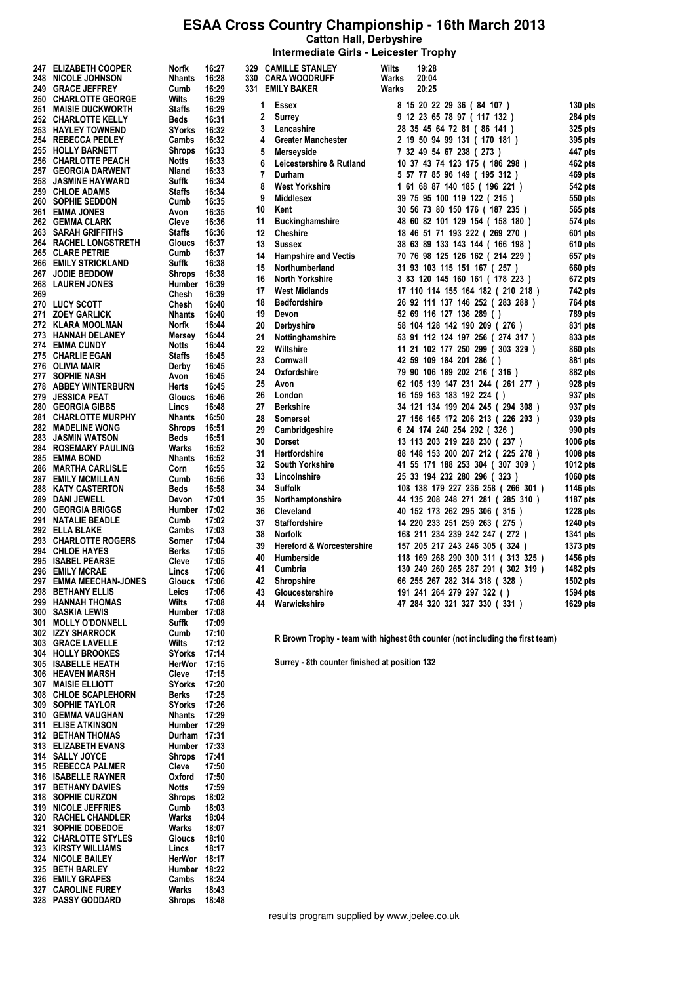**Catton Hall, Derbyshire Intermediate Girls - Leicester Trophy**

313 ELIZABETH EVANS

328 PASSY GODDARD

MOLLY O'DONNELL Suffk 17:09<br>IZZY SHARROCK Cumb 17:10 302 IZZY SHARROCK Cumb 17:10<br>303 GRACE LAVELLE Wilts 17:12 **GRACE LAVELLE Wilts**<br>1931 FLAVELLE MONTES SYONS 304 HOLLY BROOKES SYorks 17:14<br>305 ISABELLE HEATH HerWor 17:15 305 ISABELLE HEATH HerWor 17:15 306 HEAVEN MARSH Cleve 17:15 307 MAISIE ELLIOTT SYorks 17:20<br>308 CHLOE SCAPLEHORN Berks 17:25 CHLOE SCAPLEHORN Berks 17:25<br>SOPHIE TAYLOR SYorks 17:26 309 SOPHIE TAYLOR SYorks 17:26<br>310 GEMMA VAUGHAN Nhants 17:29 310 GEMMA VAUGHAN Nhants 17:29<br>311 ELISE ATKINSON Humber 17:29 311 ELISE ATKINSON Humber 17:29<br>312 BETHAN THOMAS Durham 17:31 312 BETHAN THOMAS Durham 17:31<br>313 FI IZABETH EVANS Humber 17:33

314 SALLY JOYCE Shrops 17:41<br>315 REBECCA PALMER Cleve 17:50 315 REBECCA PALMER Cleve 17:50<br>316 ISABELLE RAYNER Oxford 17:50 316 ISABELLE RAYNER Oxford 17:50<br>317 BETHANY DAVIES Notts 17:59 31 BETHANY DAVIES<br>317:59 SOPHIE CURZON<br>317:02 Shrops 18:02

318 SOPHIE CURZON Shrops<br>
319 NICOLE JEFFRIES Cumb 319 NICOLE JEFFRIES Cumb 18:03<br>320 RACHEL CHANDLER Warks 18:04 320 RACHEL CHANDLER Warks 18:04<br>321 SOPHIE DOBEDOE Warks 18:07 321 SOPHIE DOBEDOE Warks 18:07<br>322 CHARLOTTE STYLES Gloucs 18:10 CHARLOTTE STYLES Gloucs 18:10<br>KIRSTY WILLIAMS Lincs 18:17 323 KIRSTY WILLIAMS Lincs 18:17<br>324 NICOLE BAILEY HerWor 18:17 NICOLE BAILEY<br>322 BETH BARLEY Humber 18:22 325 BETH BARLEY Humber 18:22 326 EMILY GRAPES Cambs 18:24<br>327 CAROLINE FUREY Warks 18:43 CAROLINE FUREY Warks 18:43<br>PASSY GODDARD Shrops 18:48

| 247          | <b>ELIZABETH COOPER</b>                       | Norfk                 | 16:27          | 329            | <b>CAMILLE STANLEY</b>               | <b>Wilts</b> | 19:28                             |           |
|--------------|-----------------------------------------------|-----------------------|----------------|----------------|--------------------------------------|--------------|-----------------------------------|-----------|
| 248          | <b>NICOLE JOHNSON</b>                         | <b>Nhants</b>         | 16:28          |                | 330 CARA WOODRUFF                    | Warks        | 20:04                             |           |
| 249          | <b>GRACE JEFFREY</b>                          | Cumb                  | 16:29          |                | 331 EMILY BAKER                      | Warks        | 20:25                             |           |
|              | <b>250 CHARLOTTE GEORGE</b>                   | Wilts                 | 16:29          | 1              | <b>Essex</b>                         |              | 8 15 20 22 29 36 (84 107 )        | $130$ pts |
| 251          | <b>MAISIE DUCKWORTH</b>                       | <b>Staffs</b>         | 16:29          | 2              | <b>Surrey</b>                        |              |                                   |           |
|              | <b>252 CHARLOTTE KELLY</b>                    | <b>Beds</b>           | 16:31          |                |                                      |              | 9 12 23 65 78 97 ( 117 132 )      | 284 pts   |
|              | <b>253 HAYLEY TOWNEND</b>                     | SYorks                | 16:32          | 3              | Lancashire                           |              | 28 35 45 64 72 81 (86 141 )       | 325 pts   |
|              | 254 REBECCA PEDLEY                            | Cambs                 | 16:32          | 4              | <b>Greater Manchester</b>            |              | 2 19 50 94 99 131 ( 170 181 )     | 395 pts   |
|              | 255 HOLLY BARNETT                             | Shrops                | 16:33          | 5              | Merseyside                           |              | 7 32 49 54 67 238 ( 273 )         | 447 pts   |
|              | 256 CHARLOTTE PEACH                           | Notts                 | 16:33          | 6              | Leicestershire & Rutland             |              | 10 37 43 74 123 175 ( 186 298 )   | 462 pts   |
| 257          | <b>GEORGIA DARWENT</b>                        | Nland                 | 16:33          | $\overline{7}$ | Durham                               |              | 5 57 77 85 96 149 ( 195 312 )     | 469 pts   |
| 258          | <b>JASMINE HAYWARD</b>                        | Suffk                 | 16:34          | 8              | <b>West Yorkshire</b>                |              | 1 61 68 87 140 185 ( 196 221 )    | 542 pts   |
|              | <b>259 CHLOE ADAMS</b>                        | <b>Staffs</b><br>Cumb | 16:34<br>16:35 | 9              | <b>Middlesex</b>                     |              | 39 75 95 100 119 122 (215)        | 550 pts   |
| 261          | <b>260 SOPHIE SEDDON</b><br><b>EMMA JONES</b> | Avon                  | 16:35          | 10             | Kent                                 |              | 30 56 73 80 150 176 ( 187 235 )   | 565 pts   |
|              | 262 GEMMA CLARK                               | Cleve                 | 16:36          | 11             | <b>Buckinghamshire</b>               |              | 48 60 82 101 129 154 (158 180)    | 574 pts   |
| 263          | <b>SARAH GRIFFITHS</b>                        | <b>Staffs</b>         | 16:36          | 12             | <b>Cheshire</b>                      |              | 18 46 51 71 193 222 (269 270 )    |           |
| 264          | <b>RACHEL LONGSTRETH</b>                      | Gloucs                | 16:37          |                |                                      |              |                                   | 601 pts   |
| 265          | <b>CLARE PETRIE</b>                           | Cumb                  | 16:37          | 13             | <b>Sussex</b>                        |              | 38 63 89 133 143 144 ( 166 198 )  | 610 pts   |
| 266          | <b>EMILY STRICKLAND</b>                       | Suffk                 | 16:38          | 14             | <b>Hampshire and Vectis</b>          |              | 70 76 98 125 126 162 ( 214 229 )  | 657 pts   |
| 267          | <b>JODIE BEDDOW</b>                           | Shrops                | 16:38          | 15             | Northumberland                       |              | 31 93 103 115 151 167 (257)       | 660 pts   |
| 268          | <b>LAUREN JONES</b>                           | Humber                | 16:39          | 16             | <b>North Yorkshire</b>               |              | 3 83 120 145 160 161 ( 178 223 )  | 672 pts   |
| 269          |                                               | Chesh                 | 16:39          | 17             | <b>West Midlands</b>                 |              | 17 110 114 155 164 182 (210 218)  | 742 pts   |
| 270          | <b>LUCY SCOTT</b>                             | Chesh                 | 16:40          | 18             | <b>Bedfordshire</b>                  |              | 26 92 111 137 146 252 (283 288)   | 764 pts   |
| 271          | <b>ZOEY GARLICK</b>                           | <b>Nhants</b>         | 16:40          | 19             | Devon                                |              | 52 69 116 127 136 289 ()          | 789 pts   |
| 272          | <b>KLARA MOOLMAN</b>                          | Norfk                 | 16:44          | 20             | Derbyshire                           |              | 58 104 128 142 190 209 (276)      | 831 pts   |
| 273          | <b>HANNAH DELANEY</b>                         | Mersey                | 16:44          | 21             | Nottinghamshire                      |              | 53 91 112 124 197 256 (274 317 )  | 833 pts   |
| 274          | <b>EMMA CUNDY</b>                             | Notts                 | 16:44          | 22             | Wiltshire                            |              | 11 21 102 177 250 299 (303 329)   | 860 pts   |
| 275          | <b>CHARLIE EGAN</b>                           | <b>Staffs</b>         | 16:45          |                |                                      |              |                                   |           |
|              | 276 OLIVIA MAIR                               | Derby                 | 16:45          | 23             | Cornwall                             |              | 42 59 109 184 201 286 ()          | 881 pts   |
| 277          | <b>SOPHIE NASH</b>                            | Avon                  | 16:45          | 24             | Oxfordshire                          |              | 79 90 106 189 202 216 (316)       | 882 pts   |
| 278          | <b>ABBEY WINTERBURN</b>                       | Herts                 | 16:45          | 25             | Avon                                 |              | 62 105 139 147 231 244 (261 277 ) | 928 pts   |
| 279          | <b>JESSICA PEAT</b>                           | Gloucs                | 16:46          | 26             | London                               |              | 16 159 163 183 192 224 ()         | 937 pts   |
| 280          | <b>GEORGIA GIBBS</b>                          | Lincs                 | 16:48          | 27             | <b>Berkshire</b>                     |              | 34 121 134 199 204 245 (294 308)  | 937 pts   |
| 281          | <b>CHARLOTTE MURPHY</b>                       | <b>Nhants</b>         | 16:50          | 28             | <b>Somerset</b>                      |              | 27 156 165 172 206 213 (226 293 ) | 939 pts   |
| 282          | <b>MADELINE WONG</b>                          | Shrops                | 16:51          | 29             | Cambridgeshire                       |              | 6 24 174 240 254 292 (326)        | 990 pts   |
| 283          | <b>JASMIN WATSON</b>                          | Beds                  | 16:51          | 30             | <b>Dorset</b>                        |              | 13 113 203 219 228 230 (237)      | 1006 pts  |
| 284          | <b>ROSEMARY PAULING</b>                       | Warks                 | 16:52          | 31             | <b>Hertfordshire</b>                 |              | 88 148 153 200 207 212 (225 278 ) | 1008 pts  |
| 285          | EMMA BOND                                     | <b>Nhants</b>         | 16:52          | 32             | <b>South Yorkshire</b>               |              | 41 55 171 188 253 304 (307 309 )  | 1012 pts  |
| 286          | <b>MARTHA CARLISLE</b>                        | Corn                  | 16:55          |                |                                      |              |                                   |           |
| 287          | <b>EMILY MCMILLAN</b>                         | Cumb                  | 16:56          | 33             | Lincolnshire                         |              | 25 33 194 232 280 296 (323)       | 1060 pts  |
| 288          | <b>KATY CASTERTON</b>                         | Beds                  | 16:58          | 34             | <b>Suffolk</b>                       |              | 108 138 179 227 236 258 (266 301) | 1146 pts  |
| 289          | <b>DANI JEWELL</b>                            | Devon                 | 17:01          | 35             | Northamptonshire                     |              | 44 135 208 248 271 281 (285 310)  | 1187 pts  |
| 290          | <b>GEORGIA BRIGGS</b>                         | Humber 17:02          |                | 36             | Cleveland                            |              | 40 152 173 262 295 306 (315)      | 1228 pts  |
| 291          | <b>NATALIE BEADLE</b>                         | Cumb                  | 17:02          | 37             | <b>Staffordshire</b>                 |              | 14 220 233 251 259 263 (275 )     | 1240 pts  |
|              | 292 ELLA BLAKE                                | Cambs                 | 17:03          | 38             | <b>Norfolk</b>                       |              | 168 211 234 239 242 247 (272)     | 1341 pts  |
|              | <b>293 CHARLOTTE ROGERS</b>                   | Somer                 | 17:04          | 39             | <b>Hereford &amp; Worcestershire</b> |              | 157 205 217 243 246 305 (324)     | 1373 pts  |
|              | <b>294 CHLOE HAYES</b>                        | <b>Berks</b>          | 17:05          | 40             | Humberside                           |              | 118 169 268 290 300 311 (313 325) | 1456 pts  |
|              | 295 ISABEL PEARSE                             | Cleve                 | 17:05          | 41             | Cumbria                              |              | 130 249 260 265 287 291 (302 319) | 1482 pts  |
| 296          | <b>EMILY MCRAE</b>                            | Lincs                 | 17:06          | 42             | <b>Shropshire</b>                    |              | 66 255 267 282 314 318 (328)      | 1502 pts  |
| 297          | <b>EMMA MEECHAN-JONES</b>                     | Gloucs                | 17:06          |                |                                      |              |                                   |           |
| 298          | <b>BETHANY ELLIS</b>                          | Leics                 | 17:06          | 43             | Gloucestershire                      |              | 191 241 264 279 297 322 ()        | 1594 pts  |
| 299          | <b>HANNAH THOMAS</b><br><b>SASKIA LEWIS</b>   | Wilts<br>Humber 17:08 | 17:08          | 44             | Warwickshire                         |              | 47 284 320 321 327 330 (331)      | 1629 pts  |
| 300 -<br>301 | <b>MOLLY O'DONNELL</b>                        | Suffk                 | 17:09          |                |                                      |              |                                   |           |
|              |                                               |                       |                |                |                                      |              |                                   |           |

R Brown Trophy - team with highest 8th counter (not including the first team)

Surrey - 8th counter finished at position 132

results program supplied by www.joelee.co.uk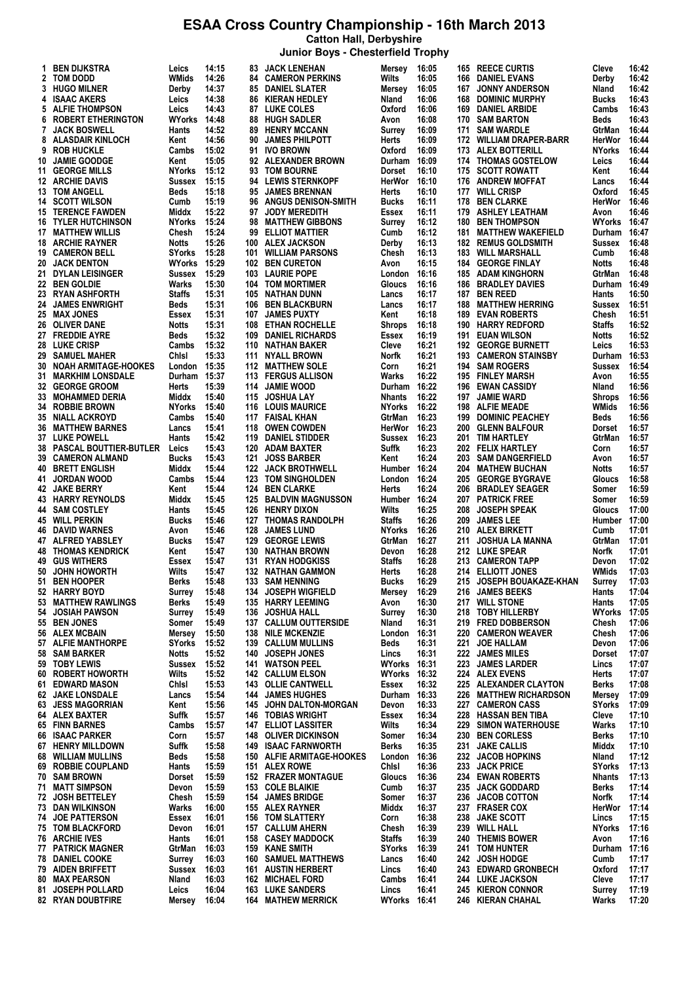**Catton Hall, Derbyshire**

|  |  | Junior Boys - Chesterfield Trophy |  |  |
|--|--|-----------------------------------|--|--|
|--|--|-----------------------------------|--|--|

| 1. | <b>BEN DIJKSTRA</b>              | Leics               | 14:15 |     | <b>83 JACK LENEHAN</b>      | Mersey              | 16:05 |     | 165 REECE CURTIS          | Cleve         | 16:42 |
|----|----------------------------------|---------------------|-------|-----|-----------------------------|---------------------|-------|-----|---------------------------|---------------|-------|
|    | 2 TOM DODD                       | WMids               | 14:26 |     | <b>84 CAMERON PERKINS</b>   | Wilts               | 16:05 | 166 | DANIEL EVANS              | Derby         | 16:42 |
|    | 3 HUGO MILNER                    | Derby               | 14:37 |     | <b>85 DANIEL SLATER</b>     | Mersey              | 16:05 | 167 | <b>JONNY ANDERSON</b>     | Nland         | 16:42 |
|    | 4 ISAAC AKERS                    | Leics               | 14:38 |     | <b>86 KIERAN HEDLEY</b>     | Nland               | 16:06 | 168 | <b>DOMINIC MURPHY</b>     | <b>Bucks</b>  | 16:43 |
|    | 5 ALFIE THOMPSON                 | Leics               | 14:43 |     | <b>87 LUKE COLES</b>        | Oxford              | 16:06 | 169 | <b>DANIEL ARBIDE</b>      | Cambs         | 16:43 |
|    | <b>6 ROBERT ETHERINGTON</b>      | <b>WYorks 14:48</b> |       |     | 88 HUGH SADLER              | Avon                | 16:08 | 170 | <b>SAM BARTON</b>         | Beds          | 16:43 |
| 7  | <b>JACK BOSWELL</b>              | Hants               | 14:52 | 89  | <b>HENRY MCCANN</b>         | Surrey              | 16:09 | 171 | <b>SAM WARDLE</b>         | GtrMan        | 16:44 |
|    | <b>ALASDAIR KINLOCH</b>          |                     |       |     |                             |                     |       |     |                           |               |       |
| 8  |                                  | Kent                | 14:56 | 90  | <b>JAMES PHILPOTT</b>       | Herts               | 16:09 |     | 172 WILLIAM DRAPER-BARR   | HerWor        | 16:44 |
| 9  | <b>ROB HUCKLE</b>                | Cambs               | 15:02 |     | 91 IVO BROWN                | Oxford              | 16:09 | 173 | <b>ALEX BOTTERILL</b>     | <b>NYorks</b> | 16:44 |
|    | 10 JAMIE GOODGE                  | Kent                | 15:05 |     | 92 ALEXANDER BROWN          | Durham 16:09        |       |     | 174 THOMAS GOSTELOW       | Leics         | 16:44 |
|    | 11 GEORGE MILLS                  | NYorks              | 15:12 |     | 93 TOM BOURNE               | <b>Dorset</b>       | 16:10 |     | 175 SCOTT ROWATT          | Kent          | 16:44 |
|    | 12 ARCHIE DAVIS                  | Sussex              | 15:15 |     | 94 LEWIS STERNKOPF          | HerWor 16:10        |       | 176 | <b>ANDREW MOFFAT</b>      | Lancs         | 16:44 |
|    | <b>13 TOM ANGELL</b>             | Beds                | 15:18 |     | 95 JAMES BRENNAN            | Herts               | 16:10 |     | 177 WILL CRISP            | Oxford        | 16:45 |
|    | <b>14 SCOTT WILSON</b>           | Cumb                | 15:19 | 96  | <b>ANGUS DENISON-SMITH</b>  | Bucks               | 16:11 | 178 | <b>BEN CLARKE</b>         | HerWor        | 16:46 |
|    | <b>15 TERENCE FAWDEN</b>         | Middx               | 15:22 | 97  | <b>JODY MEREDITH</b>        | Essex               | 16:11 | 179 | <b>ASHLEY LEATHAM</b>     | Avon          | 16:46 |
|    |                                  |                     |       |     |                             |                     |       |     |                           |               |       |
|    | <b>16 TYLER HUTCHINSON</b>       | <b>NYorks</b>       | 15:24 | 98  | <b>MATTHEW GIBBONS</b>      | Surrey              | 16:12 | 180 | <b>BEN THOMPSON</b>       | <b>WYorks</b> | 16:47 |
|    | <b>17 MATTHEW WILLIS</b>         | Chesh               | 15:24 | 99  | <b>ELLIOT MATTIER</b>       | Cumb                | 16:12 | 181 | <b>MATTHEW WAKEFIELD</b>  | Durham        | 16:47 |
|    | <b>18 ARCHIE RAYNER</b>          | Notts               | 15:26 | 100 | <b>ALEX JACKSON</b>         | Derby               | 16:13 | 182 | <b>REMUS GOLDSMITH</b>    | Sussex        | 16:48 |
|    | <b>19 CAMERON BELL</b>           | SYorks              | 15:28 |     | 101 WILLIAM PARSONS         | Chesh               | 16:13 | 183 | <b>WILL MARSHALL</b>      | Cumb          | 16:48 |
|    | 20 JACK DENTON                   | <b>WYorks</b>       | 15:29 | 102 | <b>BEN CURETON</b>          | Avon                | 16:15 | 184 | <b>GEORGE FINLAY</b>      | Notts         | 16:48 |
|    | 21 DYLAN LEISINGER               | Sussex              | 15:29 | 103 | <b>LAURIE POPE</b>          | London 16:16        |       | 185 | <b>ADAM KINGHORN</b>      | GtrMan        | 16:48 |
|    | 22 BEN GOLDIE                    | Warks               | 15:30 | 104 | <b>TOM MORTIMER</b>         | Gloucs              | 16:16 | 186 | <b>BRADLEY DAVIES</b>     | Durham        | 16:49 |
|    | 23 RYAN ASHFORTH                 | <b>Staffs</b>       | 15:31 | 105 | NATHAN DUNN                 | Lancs               | 16:17 | 187 | <b>BEN REED</b>           | Hants         | 16:50 |
|    |                                  |                     |       |     |                             |                     |       |     |                           |               |       |
| 24 | <b>JAMES ENWRIGHT</b>            | Beds                | 15:31 | 106 | <b>BEN BLACKBURN</b>        | Lancs               | 16:17 | 188 | <b>MATTHEW HERRING</b>    | Sussex        | 16:51 |
|    | 25 MAX JONES                     | Essex               | 15:31 | 107 | <b>JAMES PUXTY</b>          | Kent                | 16:18 | 189 | <b>EVAN ROBERTS</b>       | Chesh         | 16:51 |
|    | 26 OLIVER DANE                   | Notts               | 15:31 | 108 | <b>ETHAN ROCHELLE</b>       | <b>Shrops</b>       | 16:18 | 190 | <b>HARRY REDFORD</b>      | Staffs        | 16:52 |
|    | 27 FREDDIE AYRE                  | Beds                | 15:32 | 109 | <b>DANIEL RICHARDS</b>      | Essex               | 16:19 | 191 | <b>EUAN WILSON</b>        | Notts         | 16:52 |
|    | 28 LUKE CRISP                    | Cambs               | 15:32 | 110 | NATHAN BAKER                | Cleve               | 16:21 | 192 | <b>GEORGE BURNETT</b>     | Leics         | 16:53 |
|    | 29 SAMUEL MAHER                  | Chisi               | 15:33 | 111 | NYALL BROWN                 | Norfk               | 16:21 | 193 | <b>CAMERON STAINSBY</b>   | Durham        | 16:53 |
| 30 | NOAH ARMITAGE-HOOKES             | London              | 15:35 | 112 | <b>MATTHEW SOLE</b>         | Corn                | 16:21 | 194 | <b>SAM ROGERS</b>         | Sussex        | 16:54 |
| 31 | <b>MARKHIM LONSDALE</b>          | Durham              | 15:37 | 113 | <b>FERGUS ALLISON</b>       | Warks               | 16:22 | 195 | <b>FINLEY MARSH</b>       |               | 16:55 |
|    |                                  |                     |       |     |                             |                     |       |     |                           | Avon          |       |
|    | 32 GEORGE GROOM                  | Herts               | 15:39 |     | 114 JAMIE WOOD              | Durham 16:22        |       | 196 | <b>EWAN CASSIDY</b>       | Nland         | 16:56 |
| 33 | <b>MOHAMMED DERIA</b>            | Middx               | 15:40 | 115 | <b>JOSHUA LAY</b>           | <b>Nhants</b>       | 16:22 | 197 | <b>JAMIE WARD</b>         | Shrops        | 16:56 |
|    | 34 ROBBIE BROWN                  | <b>NYorks</b>       | 15:40 |     | <b>116 LOUIS MAURICE</b>    | <b>NYorks</b>       | 16:22 | 198 | <b>ALFIE MEADE</b>        | WMids         | 16:56 |
|    | <b>35 NIALL ACKROYD</b>          | Cambs               | 15:40 |     | 117 FAISAL KHAN             | GtrMan              | 16:23 | 199 | <b>DOMINIC PEACHEY</b>    | Beds          | 16:56 |
|    | <b>36 MATTHEW BARNES</b>         | Lancs               | 15:41 |     | 118 OWEN COWDEN             | HerWor 16:23        |       | 200 | <b>GLENN BALFOUR</b>      | Dorset        | 16:57 |
|    | <b>37 LUKE POWELL</b>            | Hants               | 15:42 | 119 | <b>DANIEL STIDDER</b>       | Sussex              | 16:23 | 201 | TIM HARTLEY               | GtrMan        | 16:57 |
|    | <b>38 PASCAL BOUTTIER-BUTLER</b> | Leics               | 15:43 |     | 120 ADAM BAXTER             | Suffk               | 16:23 |     | 202 FELIX HARTLEY         | Corn          | 16:57 |
|    | <b>39 CAMERON ALMAND</b>         | <b>Bucks</b>        | 15:43 | 121 | <b>JOSS BARBER</b>          | Kent                | 16:24 | 203 | <b>SAM DANGERFIELD</b>    | Avon          | 16:57 |
|    |                                  |                     |       |     |                             | Humber 16:24        |       |     |                           |               |       |
|    | <b>40 BRETT ENGLISH</b>          | Middx               | 15:44 |     | <b>122 JACK BROTHWELL</b>   |                     |       | 204 | <b>MATHEW BUCHAN</b>      | Notts         | 16:57 |
|    | 41 JORDAN WOOD                   | Cambs               | 15:44 |     | 123 TOM SINGHOLDEN          | London 16:24        |       | 205 | <b>GEORGE BYGRAVE</b>     | Gloucs        | 16:58 |
|    | <b>42 JAKE BERRY</b>             | Kent                | 15:44 | 124 | <b>BEN CLARKE</b>           | Herts               | 16:24 | 206 | <b>BRADLEY SEAGER</b>     | Somer         | 16:59 |
|    | <b>43 HARRY REYNOLDS</b>         | Middx               | 15:45 | 125 | <b>BALDVIN MAGNUSSON</b>    | Humber 16:24        |       | 207 | <b>PATRICK FREE</b>       | Somer         | 16:59 |
|    | 44 SAM COSTLEY                   | Hants               | 15:45 | 126 | <b>HENRY DIXON</b>          | Wilts               | 16:25 | 208 | <b>JOSEPH SPEAK</b>       | Gloucs        | 17:00 |
|    | <b>45 WILL PERKIN</b>            | Bucks               | 15:46 | 127 | <b>THOMAS RANDOLPH</b>      | <b>Staffs</b>       | 16:26 | 209 | <b>JAMES LEE</b>          | Humber 17:00  |       |
|    | <b>46 DAVID WARNES</b>           | Avon                | 15:46 | 128 | <b>JAMES LUND</b>           | <b>NYorks</b>       | 16:26 | 210 | ALEX BIRKETT              | Cumb          | 17:01 |
|    | 47 ALFRED YABSLEY                | <b>Bucks</b>        | 15:47 | 129 | <b>GEORGE LEWIS</b>         | GtrMan              | 16:27 | 211 | <b>JOSHUA LA MANNA</b>    | GtrMan        | 17:01 |
|    |                                  |                     | 15:47 |     | NATHAN BROWN                |                     | 16:28 |     | 212 LUKE SPEAR            | Norfk         | 17:01 |
|    | <b>48 THOMAS KENDRICK</b>        | Kent                |       | 130 |                             | Devon               |       |     |                           |               |       |
|    | <b>49 GUS WITHERS</b>            | Essex               | 15:47 |     | <b>131 RYAN HODGKISS</b>    | <b>Staffs</b>       | 16:28 |     | 213 CAMERON TAPP          | Devon         | 17:02 |
| 50 | <b>JOHN HOWORTH</b>              | Wilts               | 15:47 |     | <b>132 NATHAN GAMMON</b>    | Herts               | 16:28 |     | 214 ELLIOTT JONES         | WMids         | 17:03 |
| 51 | <b>BEN HOOPER</b>                | Berks               | 15:48 |     | 133 SAM HENNING             | <b>Bucks</b>        | 16:29 |     | 215 JOSEPH BOUAKAZE-KHAN  | Surrey        | 17:03 |
|    | 52 HARRY BOYD                    | Surrey              | 15:48 | 134 | <b>JOSEPH WIGFIELD</b>      | Mersey              | 16:29 | 216 | <b>JAMES BEEKS</b>        | Hants         | 17:04 |
|    | 53 MATTHEW RAWLINGS              | Berks               | 15:49 | 135 | <b>HARRY LEEMING</b>        | Avon                | 16:30 |     | 217 WILL STONE            | Hants         | 17:05 |
| 54 | <b>JOSIAH PAWSON</b>             | Surrey              | 15:49 | 136 | JOSHUA HALL                 | Surrey              | 16:30 | 218 | <b>TOBY HILLERBY</b>      | WYorks        | 17:05 |
|    | 55 BEN JONES                     | Somer               | 15:49 |     | 137 CALLUM OUTTERSIDE       | Nland               | 16:31 |     | 219 FRED DOBBERSON        | Chesh         | 17:06 |
|    | 56 ALEX MCBAIN                   | Mersey              | 15:50 | 138 | <b>NILE MCKENZIE</b>        | London 16:31        |       | 220 | <b>CAMERON WEAVER</b>     | Chesh         | 17:06 |
|    | 57 ALFIE MANTHORPE               |                     |       | 139 |                             |                     |       | 221 |                           |               |       |
|    |                                  | SYorks              | 15:52 |     | <b>CALLUM MULLINS</b>       | Beds                | 16:31 |     | <b>JOE HALLAM</b>         | Devon         | 17:06 |
|    | 58 SAM BARKER                    | Notts               | 15:52 | 140 | <b>JOSEPH JONES</b>         | Lincs               | 16:31 | 222 | <b>JAMES MILES</b>        | Dorset        | 17:07 |
|    | 59 TOBY LEWIS                    | Sussex              | 15:52 | 141 | <b>WATSON PEEL</b>          | <b>WYorks 16:31</b> |       | 223 | <b>JAMES LARDER</b>       | Lincs         | 17:07 |
|    | 60 ROBERT HOWORTH                | Wilts               | 15:52 |     | <b>142 CALLUM ELSON</b>     | <b>WYorks 16:32</b> |       |     | 224 ALEX EVENS            | Herts         | 17:07 |
| 61 | <b>EDWARD MASON</b>              | Chisi               | 15:53 | 143 | <b>OLLIE CANTWELL</b>       | Essex               | 16:32 | 225 | <b>ALEXANDER CLAYTON</b>  | <b>Berks</b>  | 17:08 |
|    | <b>62 JAKE LONSDALE</b>          | Lancs               | 15:54 |     | <b>144 JAMES HUGHES</b>     | Durham 16:33        |       | 226 | <b>MATTHEW RICHARDSON</b> | Mersey        | 17:09 |
|    | <b>63 JESS MAGORRIAN</b>         | Kent                | 15:56 | 145 | <b>JOHN DALTON-MORGAN</b>   | Devon               | 16:33 | 227 | <b>CAMERON CASS</b>       | SYorks        | 17:09 |
|    | 64 ALEX BAXTER                   | Suffk               | 15:57 |     | <b>146 TOBIAS WRIGHT</b>    | Essex               | 16:34 | 228 | <b>HASSAN BEN TIBA</b>    | Cleve         | 17:10 |
|    | <b>65 FINN BARNES</b>            | Cambs               | 15:57 | 147 | <b>ELLIOT LASSITER</b>      | Wilts               | 16:34 | 229 | <b>SIMON WATERHOUSE</b>   | Warks         | 17:10 |
|    |                                  |                     |       |     |                             |                     |       |     |                           |               |       |
|    | 66 ISAAC PARKER                  | Corn                | 15:57 |     | <b>148 OLIVER DICKINSON</b> | Somer               | 16:34 | 230 | <b>BEN CORLESS</b>        | <b>Berks</b>  | 17:10 |
|    | <b>67 HENRY MILLDOWN</b>         | Suffk               | 15:58 | 149 | <b>ISAAC FARNWORTH</b>      | <b>Berks</b>        | 16:35 | 231 | <b>JAKE CALLIS</b>        | Middx         | 17:10 |
|    | <b>68 WILLIAM MULLINS</b>        | Beds                | 15:58 |     | 150 ALFIE ARMITAGE-HOOKES   | London 16:36        |       | 232 | <b>JACOB HOPKINS</b>      | Nland         | 17:12 |
|    | 69 ROBBIE COUPLAND               | Hants               | 15:59 |     | 151 ALEX ROWE               | Chisi               | 16:36 | 233 | <b>JACK PRICE</b>         | SYorks        | 17:13 |
|    | 70 SAM BROWN                     | Dorset              | 15:59 |     | <b>152 FRAZER MONTAGUE</b>  | Gloucs              | 16:36 | 234 | <b>EWAN ROBERTS</b>       | <b>Nhants</b> | 17:13 |
|    | 71 MATT SIMPSON                  | Devon               | 15:59 | 153 | <b>COLE BLAIKIE</b>         | Cumb                | 16:37 | 235 | <b>JACK GODDARD</b>       | Berks         | 17:14 |
|    | 72 JOSH BETTELEY                 | Chesh               | 15:59 | 154 | <b>JAMES BRIDGE</b>         | Somer               | 16:37 | 236 | <b>JACOB COTTON</b>       | Norfk         | 17:14 |
|    | 73 DAN WILKINSON                 | Warks               | 16:00 | 155 | ALEX RAYNER                 | Middx               | 16:37 | 237 | <b>FRASER COX</b>         | HerWor        | 17:14 |
|    |                                  |                     | 16:01 |     |                             |                     |       |     |                           |               | 17:15 |
|    | <b>74 JOE PATTERSON</b>          | Essex               |       | 156 | <b>TOM SLATTERY</b>         | Corn                | 16:38 | 238 | <b>JAKE SCOTT</b>         | Lincs         |       |
|    | <b>75 TOM BLACKFORD</b>          | Devon               | 16:01 | 157 | <b>CALLUM AHERN</b>         | Chesh               | 16:39 | 239 | <b>WILL HALL</b>          | NYorks        | 17:16 |
|    | 76 ARCHIE IVES                   | Hants               | 16:01 | 158 | <b>CASEY MADDOCK</b>        | <b>Staffs</b>       | 16:39 | 240 | <b>THEMIS BOWER</b>       | Avon          | 17:16 |
|    | <b>77 PATRICK MAGNER</b>         | GtrMan              | 16:03 | 159 | <b>KANE SMITH</b>           | <b>SYorks</b>       | 16:39 | 241 | <b>TOM HUNTER</b>         | Durham 17:16  |       |
|    | <b>78 DANIEL COOKE</b>           | Surrey              | 16:03 | 160 | <b>SAMUEL MATTHEWS</b>      | Lancs               | 16:40 | 242 | <b>JOSH HODGE</b>         | Cumb          | 17:17 |
|    | 79 AIDEN BRIFFETT                | Sussex              | 16:03 |     | <b>161 AUSTIN HERBERT</b>   | Lincs               | 16:40 | 243 | <b>EDWARD GRONBECH</b>    | Oxford        | 17:17 |
|    | <b>80 MAX PEARSON</b>            | Nland               | 16:03 | 162 | <b>MICHAEL FORD</b>         | Cambs               | 16:41 |     | 244 LUKE JACKSON          | Cleve         | 17:17 |
|    | 81 JOSEPH POLLARD                | Leics               | 16:04 | 163 | <b>LUKE SANDERS</b>         | Lincs               | 16:41 |     | 245 KIERON CONNOR         | Surrey        | 17:19 |
|    | 82 RYAN DOUBTFIRE                | Mersey              | 16:04 |     | <b>164 MATHEW MERRICK</b>   | WYorks 16:41        |       |     | 246 KIERAN CHAHAL         | Warks         | 17:20 |
|    |                                  |                     |       |     |                             |                     |       |     |                           |               |       |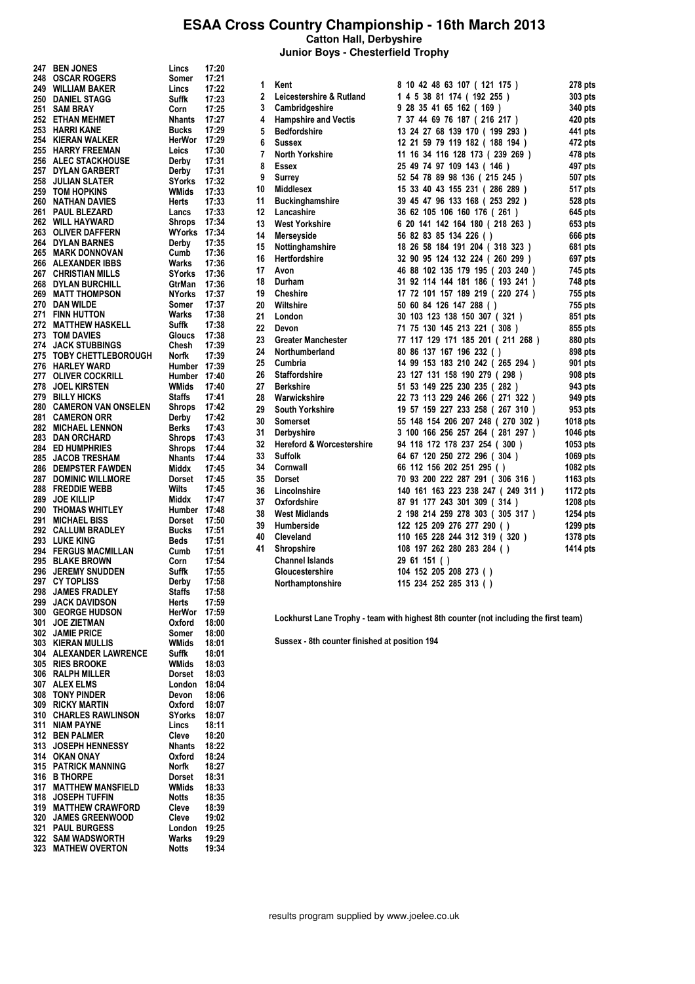**Catton Hall, Derbyshire**

**Junior Boys - Chesterfield Trophy**

| 247 | <b>BEN JONES</b>           | Lincs         | 17:20 |
|-----|----------------------------|---------------|-------|
|     |                            |               |       |
| 248 | <b>OSCAR ROGERS</b>        | Somer         | 17:21 |
| 249 | <b>WILLIAM BAKER</b>       | Lincs         | 17:22 |
| 250 | <b>DANIEL STAGG</b>        | Suffk         | 17:23 |
| 251 | <b>SAM BRAY</b>            | Corn          | 17:25 |
|     | 252 ETHAN MEHMET           | Nhants 17:27  |       |
|     |                            |               |       |
|     | 253 HARRI KANE             | Bucks         | 17:29 |
|     | 254 KIERAN WALKER          | HerWor        | 17:29 |
|     | 255 HARRY FREEMAN          | Leics         | 17:30 |
|     | 256 ALEC STACKHOUSE        | Derby         | 17:31 |
|     | 257 DYLAN GARBERT          | Derby         | 17:31 |
|     |                            |               |       |
| 258 | <b>JULIAN SLATER</b>       | SYorks        | 17:32 |
| 259 | <b>TOM HOPKINS</b>         | WMids         | 17:33 |
|     | <b>260 NATHAN DAVIES</b>   | Herts         | 17:33 |
| 261 | <b>PAUL BLEZARD</b>        | Lancs         | 17:33 |
|     | 262 WILL HAYWARD           | Shrops        | 17:34 |
| 263 | <b>OLIVER DAFFERN</b>      |               |       |
|     |                            | WYorks        | 17:34 |
|     | 264 DYLAN BARNES           | Derby         | 17:35 |
| 265 | <b>MARK DONNOVAN</b>       | Cumb          | 17:36 |
|     | 266 ALEXANDER IBBS         | Warks         | 17:36 |
|     | 267 CHRISTIAN MILLS        | SYorks 17:36  |       |
|     |                            |               |       |
|     | <b>268 DYLAN BURCHILL</b>  | GtrMan        | 17:36 |
|     | 269 MATT THOMPSON          | NYorks        | 17:37 |
|     | 270 DAN WILDE              | Somer         | 17:37 |
|     | 271 FINN HUTTON            | Warks         | 17:38 |
|     | 272 MATTHEW HASKELL        | Suffk         | 17:38 |
| 273 | <b>TOM DAVIES</b>          | Gloucs        | 17:38 |
| 274 | <b>JACK STUBBINGS</b>      | Chesh         | 17:39 |
|     |                            |               |       |
| 275 | <b>TOBY CHETTLEBOROUGH</b> | Norfk         | 17:39 |
| 276 | <b>HARLEY WARD</b>         | Humber        | 17:39 |
| 277 | <b>OLIVER COCKRILL</b>     | Humber 17:40  |       |
| 278 | <b>JOEL KIRSTEN</b>        | WMids         | 17:40 |
| 279 | <b>BILLY HICKS</b>         | Staffs        | 17:41 |
|     | 280 CAMERON VAN ONSELEN    | Shrops        | 17:42 |
|     |                            |               |       |
|     | 281 CAMERON ORR            | Derby         | 17:42 |
|     | 282 MICHAEL LENNON         | Berks         | 17:43 |
|     | 283 DAN ORCHARD            | Shrops        | 17:43 |
| 284 | <b>ED HUMPHRIES</b>        | Shrops        | 17:44 |
| 285 | <b>JACOB TRESHAM</b>       | Nhants        | 17:44 |
| 286 | <b>DEMPSTER FAWDEN</b>     | Middx         | 17:45 |
| 287 | <b>DOMINIC WILLMORE</b>    | Dorset        | 17:45 |
| 288 | <b>FREDDIE WEBB</b>        | Wilts         | 17:45 |
| 289 | <b>JOE KILLIP</b>          | Middx         | 17:47 |
|     |                            |               |       |
| 290 | <b>THOMAS WHITLEY</b>      | Humber        | 17:48 |
| 291 | <b>MICHAEL BISS</b>        | Dorset        | 17:50 |
|     | 292 CALLUM BRADLEY         | Bucks         | 17:51 |
| 293 | <b>LUKE KING</b>           | Beds          | 17:51 |
|     | 294 FERGUS MACMILLAN       | Cumb          | 17:51 |
|     | 295 BLAKE BROWN            | Corn          | 17:54 |
|     |                            | Suffk         |       |
| 296 | <b>JEREMY SNUDDEN</b>      |               | 17:55 |
| 297 | <b>CY TOPLISS</b>          | Derby         | 17:58 |
| 298 | <b>JAMES FRADLEY</b>       | <b>Staffs</b> | 17:58 |
| 299 | <b>JACK DAVIDSON</b>       | Herts         | 17:59 |
| 300 | <b>GEORGE HUDSON</b>       | HerWor        | 17:59 |
| 301 | <b>JOE ZIETMAN</b>         | Oxford        | 18:00 |
| 302 | <b>JAMIE PRICE</b>         | Somer         | 18:00 |
|     |                            |               |       |
| 303 | <b>KIERAN MULLIS</b>       | WMids         | 18:01 |
| 304 | <b>ALEXANDER LAWRENCE</b>  | Suffk         | 18:01 |
| 305 | <b>RIES BROOKE</b>         | <b>WMids</b>  | 18:03 |
| 306 | <b>RALPH MILLER</b>        | Dorset        | 18:03 |
| 307 | <b>ALEX ELMS</b>           | London        | 18:04 |
| 308 | <b>TONY PINDER</b>         | Devon         | 18:06 |
| 309 | <b>RICKY MARTIN</b>        | Oxford        | 18:07 |
| 310 |                            |               |       |
|     | <b>CHARLES RAWLINSON</b>   | <b>SYorks</b> | 18:07 |
| 311 | <b>NIAM PAYNE</b>          | Lincs         | 18:11 |
| 312 | <b>BEN PALMER</b>          | Cleve         | 18:20 |
| 313 | <b>JOSEPH HENNESSY</b>     | Nhants        | 18:22 |
| 314 | <b>OKAN ONAY</b>           | Oxford        | 18:24 |
| 315 | <b>PATRICK MANNING</b>     | Norfk         | 18:27 |
| 316 | <b>B THORPE</b>            | Dorset        | 18:31 |
| 317 | <b>MATTHEW MANSFIELD</b>   | WMids         | 18:33 |
|     |                            |               |       |
| 318 |                            |               |       |
|     | <b>JOSEPH TUFFIN</b>       | Notts         | 18:35 |
| 319 | <b>MATTHEW CRAWFORD</b>    | Cleve         | 18:39 |
| 320 | <b>JAMES GREENWOOD</b>     | Cleve         | 19:02 |
| 321 | <b>PAUL BURGESS</b>        | London        | 19:25 |
| 322 | <b>SAM WADSWORTH</b>       | Warks         | 19:29 |
| 323 | <b>MATHEW OVERTON</b>      | Notts         | 19:34 |

| 1           | Kent                                 | 8 10 42 48 63 107 ( 121 175 )     | 278 pts  |
|-------------|--------------------------------------|-----------------------------------|----------|
| $\mathbf 2$ | Leicestershire & Rutland             | 1 4 5 38 81 174 ( 192 255 )       | 303 pts  |
| 3           | Cambridgeshire                       | 9 28 35 41 65 162 (169)           | 340 pts  |
| 4           | <b>Hampshire and Vectis</b>          | 7 37 44 69 76 187 (216 217)       | 420 pts  |
| 5           | <b>Bedfordshire</b>                  | 13 24 27 68 139 170 ( 199 293 )   | 441 pts  |
| 6           | <b>Sussex</b>                        | 12 21 59 79 119 182 ( 188 194 )   | 472 pts  |
| 7           | North Yorkshire                      | 11 16 34 116 128 173 (239 269 )   | 478 pts  |
| 8           | Essex                                | 25 49 74 97 109 143 ( 146 )       | 497 pts  |
| 9           | <b>Surrey</b>                        | 52 54 78 89 98 136 (215 245)      | 507 pts  |
| 10          | <b>Middlesex</b>                     | 15 33 40 43 155 231 (286 289)     | 517 pts  |
| 11          | <b>Buckinghamshire</b>               | 39 45 47 96 133 168 (253 292)     | 528 pts  |
| 12          | Lancashire                           | 36 62 105 106 160 176 (261)       | 645 pts  |
| 13          | <b>West Yorkshire</b>                | 6 20 141 142 164 180 (218 263)    | 653 pts  |
| 14          | Merseyside                           | 56 82 83 85 134 226 ()            | 666 pts  |
| 15          | Nottinghamshire                      | 18 26 58 184 191 204 (318 323)    | 681 pts  |
| 16          | Hertfordshire                        | 32 90 95 124 132 224 (260 299)    | 697 pts  |
| 17          | Avon                                 | 46 88 102 135 179 195 (203 240 )  | 745 pts  |
| 18          | Durham                               | 31 92 114 144 181 186 ( 193 241 ) | 748 pts  |
| 19          | <b>Cheshire</b>                      | 17 72 101 157 189 219 (220 274)   | 755 pts  |
| 20          | Wiltshire                            | 50 60 84 126 147 288 ()           | 755 pts  |
| 21          | London                               | 30 103 123 138 150 307 (321)      | 851 pts  |
| 22          | Devon                                | 71 75 130 145 213 221 (308)       | 855 pts  |
| 23          | <b>Greater Manchester</b>            | 77 117 129 171 185 201 (211 268)  | 880 pts  |
| 24          | Northumberland                       | 80 86 137 167 196 232 ()          | 898 pts  |
| 25          | Cumbria                              | 14 99 153 183 210 242 (265 294)   | 901 pts  |
| 26          | <b>Staffordshire</b>                 | 23 127 131 158 190 279 (298)      | 908 pts  |
| 27          | <b>Berkshire</b>                     | 51 53 149 225 230 235 (282)       | 943 pts  |
| 28          | Warwickshire                         | 22 73 113 229 246 266 (271 322 )  | 949 pts  |
| 29          | <b>South Yorkshire</b>               | 19 57 159 227 233 258 (267 310)   | 953 pts  |
| 30          | <b>Somerset</b>                      | 55 148 154 206 207 248 (270 302)  | 1018 pts |
| 31          | Derbyshire                           | 3 100 166 256 257 264 (281 297 )  | 1046 pts |
| 32          | <b>Hereford &amp; Worcestershire</b> | 94 118 172 178 237 254 (300)      | 1053 pts |
| 33          | <b>Suffolk</b>                       | 64 67 120 250 272 296 (304)       | 1069 pts |
| 34          | Cornwall                             | 66 112 156 202 251 295 ()         | 1082 pts |
| 35          | <b>Dorset</b>                        | 70 93 200 222 287 291 (306 316)   | 1163 pts |
| 36          | Lincolnshire                         | 140 161 163 223 238 247 (249 311) | 1172 pts |
| 37          | Oxfordshire                          | 87 91 177 243 301 309 (314)       | 1208 pts |
| 38          | <b>West Midlands</b>                 | 2 198 214 259 278 303 (305 317)   | 1254 pts |
| 39          | Humberside                           | 122 125 209 276 277 290 ()        | 1299 pts |
| 40          | Cleveland                            | 110 165 228 244 312 319 (320)     | 1378 pts |
| 41          | Shropshire                           | 108 197 262 280 283 284 ()        | 1414 pts |
|             | <b>Channel Islands</b>               | 29 61 151 ( )                     |          |
|             | Gloucestershire                      | 104 152 205 208 273 ()            |          |
|             | Northamptonshire                     | 115 234 252 285 313 ()            |          |

Lockhurst Lane Trophy - team with highest 8th counter (not including the first team)

Sussex - 8th counter finished at position 194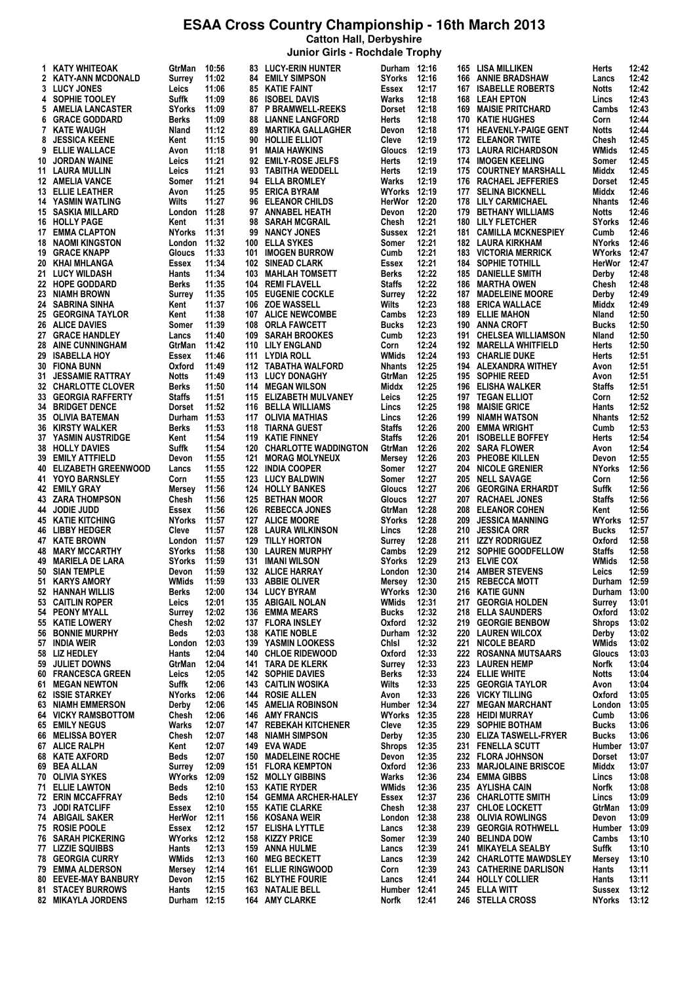**Catton Hall, Derbyshire**

|    |                                                          |                         |                |            | Junior Girls - Rochdale Trophy                       |                              |                |            |                                                   |                        |                |
|----|----------------------------------------------------------|-------------------------|----------------|------------|------------------------------------------------------|------------------------------|----------------|------------|---------------------------------------------------|------------------------|----------------|
|    | 1 KATY WHITEOAK                                          | GtrMan                  | 10:56          |            | 83 LUCY-ERIN HUNTER                                  | Durham 12:16                 |                | 165        | LISA MILLIKEN                                     | Herts                  | 12:42          |
|    | 2 KATY-ANN MCDONALD                                      | Surrey                  | 11:02          |            | <b>84 EMILY SIMPSON</b>                              | <b>SYorks</b>                | 12:16          | 166        | <b>ANNIE BRADSHAW</b>                             | Lancs                  | 12:42          |
|    | 3 LUCY JONES<br>4 SOPHIE TOOLEY                          | Leics<br>Suffk          | 11:06<br>11:09 |            | 85 KATIE FAINT<br><b>86 ISOBEL DAVIS</b>             | Essex<br>Warks               | 12:17<br>12:18 | 167<br>168 | <b>ISABELLE ROBERTS</b><br><b>LEAH EPTON</b>      | <b>Notts</b><br>Lincs  | 12:42<br>12:43 |
|    | 5 AMELIA LANCASTER                                       | SYorks                  | 11:09          |            | 87 P BRAMWELL-REEKS                                  | Dorset                       | 12:18          | 169        | <b>MAISIE PRITCHARD</b>                           | Cambs                  | 12:43          |
| 6  | <b>GRACE GODDARD</b>                                     | <b>Berks</b>            | 11:09          | 88         | <b>LIANNE LANGFORD</b>                               | Herts                        | 12:18          | 170        | <b>KATIE HUGHES</b>                               | Corn                   | 12:44          |
|    | 7 KATE WAUGH                                             | Nland                   | 11:12          | 89         | <b>MARTIKA GALLAGHER</b>                             | Devon                        | 12:18          | 171        | <b>HEAVENLY-PAIGE GENT</b>                        | Notts                  | 12:44          |
| 8  | <b>JESSICA KEENE</b>                                     | Kent                    | 11:15          | 90         | <b>HOLLIE ELLIOT</b>                                 | Cleve                        | 12:19          | 172        | <b>ELEANOR TWITE</b>                              | Chesh                  | 12:45          |
|    | 9 ELLIE WALLACE                                          | Avon                    | 11:18          |            | 91 MAIA HAWKINS                                      | Gloucs                       | 12:19          | 173        | <b>LAURA RICHARDSON</b>                           | WMids                  | 12:45          |
|    | <b>10 JORDAN WAINE</b><br>11 LAURA MULLIN                | Leics<br>Leics          | 11:21<br>11:21 | 92         | <b>EMILY-ROSE JELFS</b><br>93 TABITHA WEDDELL        | Herts<br>Herts               | 12:19<br>12:19 | 174<br>175 | <b>IMOGEN KEELING</b><br><b>COURTNEY MARSHALL</b> | Somer<br>Middx         | 12:45<br>12:45 |
|    | <b>12 AMELIA VANCE</b>                                   | Somer                   | 11:21          |            | 94 ELLA BROMLEY                                      | Warks                        | 12:19          | 176        | <b>RACHAEL JEFFERIES</b>                          | Dorset                 | 12:45          |
|    | <b>13 ELLIE LEATHER</b>                                  | Avon                    | 11:25          |            | 95 ERICA BYRAM                                       | WYorks                       | 12:19          | 177        | <b>SELINA BICKNELL</b>                            | Middx                  | 12:46          |
|    | <b>14 YASMIN WATLING</b>                                 | Wilts                   | 11:27          | 96         | <b>ELEANOR CHILDS</b>                                | HerWor                       | 12:20          | 178        | <b>LILY CARMICHAEL</b>                            | <b>Nhants</b>          | 12:46          |
|    | <b>15 SASKIA MILLARD</b>                                 | London                  | 11:28          |            | 97 ANNABEL HEATH                                     | Devon                        | 12:20          | 179        | <b>BETHANY WILLIAMS</b>                           | <b>Notts</b>           | 12:46          |
|    | <b>16 HOLLY PAGE</b><br><b>17 EMMA CLAPTON</b>           | Kent<br>NYorks          | 11:31<br>11:31 | 98<br>99   | <b>SARAH MCGRAIL</b><br><b>NANCY JONES</b>           | Chesh<br>Sussex              | 12:21<br>12:21 | 180<br>181 | LILY FLETCHER<br><b>CAMILLA MCKNESPIEY</b>        | <b>SYorks</b><br>Cumb  | 12:46<br>12:46 |
|    | <b>18 NAOMI KINGSTON</b>                                 | London                  | 11:32          | 100        | <b>ELLA SYKES</b>                                    | Somer                        | 12:21          | 182        | LAURA KIRKHAM                                     | <b>NYorks</b>          | 12:46          |
|    | <b>19 GRACE KNAPP</b>                                    | Gloucs                  | 11:33          | 101        | <b>IMOGEN BURROW</b>                                 | Cumb                         | 12:21          | 183        | <b>VICTORIA MERRICK</b>                           | <b>WYorks</b>          | 12:47          |
|    | 20 KHAI MHLANGA                                          | Essex                   | 11:34          | 102        | <b>SINEAD CLARK</b>                                  | Essex                        | 12:21          | 184        | <b>SOPHIE TOTHILL</b>                             | HerWor                 | 12:47          |
|    | 21 LUCY WILDASH                                          | Hants                   | 11:34          | 103        | <b>MAHLAH TOMSETT</b>                                | Berks                        | 12:22          | 185        | <b>DANIELLE SMITH</b>                             | Derby                  | 12:48          |
|    | <b>22 HOPE GODDARD</b><br>23 NIAMH BROWN                 | <b>Berks</b><br>Surrey  | 11:35<br>11:35 | 104<br>105 | <b>REMI FLAVELL</b><br><b>EUGENIE COCKLE</b>         | <b>Staffs</b><br>Surrey      | 12:22<br>12:22 | 186<br>187 | <b>MARTHA OWEN</b><br><b>MADELEINE MOORE</b>      | Chesh<br>Derby         | 12:48<br>12:49 |
|    | 24 SABRINA SINHA                                         | Kent                    | 11:37          | 106        | <b>ZOE WASSELL</b>                                   | Wilts                        | 12:23          | 188        | <b>ERICA WALLACE</b>                              | Middx                  | 12:49          |
|    | <b>25 GEORGINA TAYLOR</b>                                | Kent                    | 11:38          | 107        | <b>ALICE NEWCOMBE</b>                                | Cambs                        | 12:23          | 189        | <b>ELLIE MAHON</b>                                | Nland                  | 12:50          |
|    | <b>26 ALICE DAVIES</b>                                   | Somer                   | 11:39          | 108        | <b>ORLA FAWCETT</b>                                  | Bucks                        | 12:23          | 190        | <b>ANNA CROFT</b>                                 | <b>Bucks</b>           | 12:50          |
|    | 27 GRACE HANDLEY<br><b>28 AINE CUNNINGHAM</b>            | Lancs                   | 11:40          | 109        | <b>SARAH BROOKES</b>                                 | Cumb                         | 12:23          | 191        | <b>CHELSEA WILLIAMSON</b>                         | Nland                  | 12:50          |
|    | 29 ISABELLA HOY                                          | GtrMan<br>Essex         | 11:42<br>11:46 |            | 110 LILY ENGLAND<br>111 LYDIA ROLL                   | Corn<br>WMids                | 12:24<br>12:24 | 193        | 192 MARELLA WHITFIELD<br><b>CHARLIE DUKE</b>      | Herts<br>Herts         | 12:50<br>12:51 |
|    | <b>30 FIONA BUNN</b>                                     | Oxford                  | 11:49          |            | 112 TABATHA WALFORD                                  | <b>Nhants</b>                | 12:25          |            | 194 ALEXANDRA WITHEY                              | Avon                   | 12:51          |
|    | <b>31 JESSAMIE RATTRAY</b>                               | Notts                   | 11:49          |            | 113 LUCY DONAGHY                                     | GtrMan                       | 12:25          |            | 195 SOPHIE REED                                   | Avon                   | 12:51          |
|    | 32 CHARLOTTE CLOVER                                      | Berks                   | 11:50          |            | 114 MEGAN WILSON                                     | Middx                        | 12:25          | 196        | <b>ELISHA WALKER</b>                              | <b>Staffs</b>          | 12:51          |
|    | <b>33 GEORGIA RAFFERTY</b>                               | Staffs                  | 11:51          |            | 115 ELIZABETH MULVANEY                               | Leics                        | 12:25          | 197        | <b>TEGAN ELLIOT</b>                               | Corn                   | 12:52          |
|    | <b>34 BRIDGET DENCE</b><br><b>35 OLIVIA BATEMAN</b>      | Dorset<br>Durham        | 11:52<br>11:53 |            | 116 BELLA WILLIAMS<br>117 OLIVIA MATHIAS             | Lincs<br>Lincs               | 12:25<br>12:26 | 198<br>199 | <b>MAISIE GRICE</b><br><b>NIAMH WATSON</b>        | Hants<br><b>Nhants</b> | 12:52<br>12:52 |
| 36 | <b>KIRSTY WALKER</b>                                     | Berks                   | 11:53          | 118        | <b>TIARNA GUEST</b>                                  | <b>Staffs</b>                | 12:26          | 200        | <b>EMMA WRIGHT</b>                                | Cumb                   | 12:53          |
|    | <b>37 YASMIN AUSTRIDGE</b>                               | Kent                    | 11:54          | 119        | <b>KATIE FINNEY</b>                                  | <b>Staffs</b>                | 12:26          | 201        | <b>ISOBELLE BOFFEY</b>                            | Herts                  | 12:54          |
|    | <b>38 HOLLY DAVIES</b>                                   | Suffk                   | 11:54          | 120        | <b>CHARLOTTE WADDINGTON</b>                          | GtrMan                       | 12:26          | 202        | <b>SARA FLOWER</b>                                | Avon                   | 12:54          |
|    | <b>39 EMILY ATTFIELD</b>                                 | Devon                   | 11:55          | 121        | <b>MORAG MOLYNEUX</b>                                | Mersey                       | 12:26          | 203        | <b>PHEOBE KILLEN</b>                              | Devon                  | 12:55          |
|    | <b>40 ELIZABETH GREENWOOD</b><br><b>41 YOYO BARNSLEY</b> | Lancs<br>Corn           | 11:55<br>11:55 | 122        | <b>INDIA COOPER</b><br><b>123 LUCY BALDWIN</b>       | Somer<br>Somer               | 12:27<br>12:27 | 204<br>205 | <b>NICOLE GRENIER</b><br><b>NELL SAVAGE</b>       | <b>NYorks</b><br>Corn  | 12:56<br>12:56 |
|    | 42 EMILY GRAY                                            | Mersey                  | 11:56          |            | 124 HOLLY BANKES                                     | Gloucs                       | 12:27          | 206        | <b>GEORGINA ERHARDT</b>                           | Suffk                  | 12:56          |
|    | 43 ZARA THOMPSON                                         | Chesh                   | 11:56          |            | <b>125 BETHAN MOOR</b>                               | Gloucs                       | 12:27          | 207        | <b>RACHAEL JONES</b>                              | <b>Staffs</b>          | 12:56          |
|    | 44 JODIE JUDD                                            | Essex                   | 11:56          | 126        | <b>REBECCA JONES</b>                                 | GtrMan                       | 12:28          | 208        | <b>ELEANOR COHEN</b>                              | Kent                   | 12:56          |
|    | 45 KATIE KITCHING                                        | NYorks                  | 11:57          |            | 127 ALICE MOORE                                      | <b>SYorks</b>                | 12:28          | 209        | <b>JESSICA MANNING</b>                            | WYorks                 | 12:57          |
|    | 46 LIBBY HEDGER<br><b>47 KATE BROWN</b>                  | Cleve<br>London         | 11:57<br>11:57 | 128<br>129 | <b>LAURA WILKINSON</b><br><b>TILLY HORTON</b>        | Lincs<br>Surrey              | 12:28<br>12:28 | 210<br>211 | <b>JESSICA ORR</b><br><b>IZZY RODRIGUEZ</b>       | <b>Bucks</b><br>Oxford | 12:57<br>12:58 |
|    | 48 MARY MCCARTHY                                         | <b>SYorks</b>           | 11:58          | 130        | <b>LAUREN MURPHY</b>                                 | Cambs                        | 12:29          | 212        | SOPHIE GOODFELLOW                                 | <b>Staffs</b>          | 12:58          |
|    | 49 MARIELA DE LARA                                       | <b>SYorks</b>           | 11:59          |            | <b>131 IMANI WILSON</b>                              | <b>SYorks</b>                | 12:29          |            | 213 ELVIE COX                                     | WMids                  | 12:58          |
|    | 50 SIAN TEMPLE                                           | Devon 11:59             |                |            | 132 ALICE HARRAY                                     | London 12:30                 |                |            | 214 AMBER STEVENS                                 | <b>Leics</b>           | 12:59          |
|    | 51 KARYS AMORY                                           | WMids                   | 11:59          |            | 133 ABBIE OLIVER<br>134 LUCY BYRAM                   | Mersey 12:30                 |                |            | 215 REBECCA MOTT                                  | Durham 12:59           |                |
|    | 52 HANNAH WILLIS<br>53 CAITLIN ROPER                     | Berks<br>Leics          | 12:00<br>12:01 |            | 135 ABIGAIL NOLAN                                    | WYorks 12:30<br><b>WMids</b> | 12:31          | 217        | 216 KATIE GUNN<br><b>GEORGIA HOLDEN</b>           | Durham 13:00<br>Surrey | 13:01          |
|    | 54 PEONY MYALL                                           | Surrey                  | 12:02          |            | 136 EMMA MEARS                                       | Bucks                        | 12:32          |            | 218 ELLA SAUNDERS                                 | Oxford                 | 13:02          |
|    | 55 KATIE LOWERY                                          | Chesh                   | 12:02          |            | 137 FLORA INSLEY                                     | Oxford                       | 12:32          | 219        | <b>GEORGIE BENBOW</b>                             | <b>Shrops</b>          | 13:02          |
|    | <b>56 BONNIE MURPHY</b>                                  | Beds                    | 12:03          |            | 138 KATIE NOBLE                                      | Durham 12:32                 |                |            | 220 LAUREN WILCOX                                 | Derby                  | 13:02          |
|    | 57 INDIA WEIR<br>58 LIZ HEDLEY                           | London<br>Hants         | 12:03<br>12:04 |            | 139 YASMIN LOOKESS<br>140 CHLOE RIDEWOOD             | Chisi<br>Oxford              | 12:32<br>12:33 | 221        | <b>NICOLE BEARD</b><br>222 ROSANNA MUTSAARS       | WMids<br>Gloucs        | 13:02<br>13:03 |
|    | 59 JULIET DOWNS                                          | GtrMan                  | 12:04          |            | 141 TARA DE KLERK                                    | Surrey                       | 12:33          |            | 223 LAUREN HEMP                                   | Norfk                  | 13:04          |
|    | 60 FRANCESCA GREEN                                       | Leics                   | 12:05          |            | <b>142 SOPHIE DAVIES</b>                             | Berks                        | 12:33          |            | 224 ELLIE WHITE                                   | Notts                  | 13:04          |
|    | 61 MEGAN NEWTON                                          | Suffk                   | 12:06          |            | <b>143 CAITLIN WOSIKA</b>                            | Wilts                        | 12:33          |            | 225 GEORGIA TAYLOR                                | Avon                   | 13:04          |
|    | <b>62 ISSIE STARKEY</b>                                  | NYorks                  | 12:06          |            | 144 ROSIE ALLEN                                      | Avon                         | 12:33          | 226        | <b>VICKY TILLING</b>                              | Oxford                 | 13:05          |
|    | <b>63 NIAMH EMMERSON</b><br><b>64 VICKY RAMSBOTTOM</b>   | Derby<br>Chesh          | 12:06<br>12:06 | 146        | <b>145 AMELIA ROBINSON</b><br><b>AMY FRANCIS</b>     | Humber 12:34<br>WYorks 12:35 |                | 227<br>228 | <b>MEGAN MARCHANT</b><br><b>HEIDI MURRAY</b>      | London<br>Cumb         | 13:05<br>13:06 |
|    | <b>65 EMILY NEGUS</b>                                    | Warks                   | 12:07          |            | <b>147 REBEKAH KITCHENER</b>                         | Cleve                        | 12:35          | 229        | <b>SOPHIE BOTHAM</b>                              | Bucks                  | 13:06          |
|    | 66 MELISSA BOYER                                         | Chesh                   | 12:07          | 148        | <b>NIAMH SIMPSON</b>                                 | Derby                        | 12:35          | 230        | <b>ELIZA TASWELL-FRYER</b>                        | Bucks                  | 13:06          |
|    | 67 ALICE RALPH                                           | Kent                    | 12:07          |            | 149 EVA WADE                                         | <b>Shrops</b>                | 12:35          |            | 231 FENELLA SCUTT                                 | Humber                 | 13:07          |
|    | 68 KATE AXFORD                                           | Beds                    | 12:07          | 150        | <b>MADELEINE ROCHE</b>                               | Devon                        | 12:35          | 232        | <b>FLORA JOHNSON</b>                              | Dorset<br>Middx        | 13:07          |
|    | 69 BEA ALLAN<br>70 OLIVIA SYKES                          | Surrey<br><b>WYorks</b> | 12:09<br>12:09 |            | <b>151 FLORA KEMPTON</b><br><b>152 MOLLY GIBBINS</b> | Oxford<br>Warks              | 12:36<br>12:36 | 233        | <b>MARJOLAINE BRISCOE</b><br>234 EMMA GIBBS       | Lincs                  | 13:07<br>13:08 |
|    | <b>71 ELLIE LAWTON</b>                                   | Beds                    | 12:10          |            | 153 KATIE RYDER                                      | WMids                        | 12:36          |            | 235 AYLISHA CAIN                                  | Norfk                  | 13:08          |
|    | 72 ERIN MCCAFFRAY                                        | Beds                    | 12:10          |            | 154 GEMMA ARCHER-HALEY                               | Essex                        | 12:37          | 236        | <b>CHARLOTTE SMITH</b>                            | Lincs                  | 13:09          |
|    | 73 JODI RATCLIFF                                         | Essex                   | 12:10          |            | 155 KATIE CLARKE                                     | Chesh                        | 12:38          |            | 237 CHLOE LOCKETT                                 | GtrMan                 | 13:09          |
|    | 74 ABIGAIL SAKER<br>75 ROSIE POOLE                       | HerWor                  | 12:11<br>12:12 |            | 156 KOSANA WEIR<br>157 ELISHA LYTTLE                 | London                       | 12:38<br>12:38 | 238<br>239 | <b>OLIVIA ROWLINGS</b><br><b>GEORGIA ROTHWELL</b> | Devon<br>Humber 13:09  | 13:09          |
|    | 76 SARAH PICKERING                                       | Essex<br>WYorks 12:12   |                |            | 158 KIZZY PRICE                                      | Lancs<br>Somer               | 12:39          | 240        | <b>BELINDA DOW</b>                                | Cambs                  | 13:10          |
|    | 77 LIZZIE SQUIBBS                                        | Hants                   | 12:13          | 159        | ANNA HULME                                           | Lancs                        | 12:39          | 241        | <b>MIKAYELA SEALBY</b>                            | Suffk                  | 13:10          |
|    | <b>78 GEORGIA CURRY</b>                                  | WMids                   | 12:13          | 160        | <b>MEG BECKETT</b>                                   | Lancs                        | 12:39          |            | 242 CHARLOTTE MAWDSLEY                            | Mersey                 | 13:10          |
|    | 79 EMMA ALDERSON                                         | Mersey                  | 12:14          | 161        | <b>ELLIE RINGWOOD</b>                                | Corn                         | 12:39          |            | <b>243 CATHERINE DARLISON</b>                     | Hants                  | 13:11          |
|    | 80 EEVEE-MAY BANBURY<br><b>81 STACEY BURROWS</b>         | Devon<br>Hants          | 12:15<br>12:15 |            | <b>162 BLYTHE FOURIE</b><br>163 NATALIE BELL         | Lancs<br>Humber 12:41        | 12:41          |            | 244 HOLLY COLLIER<br>245 ELLA WITT                | Hants<br><b>Sussex</b> | 13:11<br>13:12 |
|    | <b>82 MIKAYLA JORDENS</b>                                | Durham 12:15            |                |            | 164 AMY CLARKE                                       | Norfk                        | 12:41          |            | 246 STELLA CROSS                                  | NYorks                 | 13:12          |
|    |                                                          |                         |                |            |                                                      |                              |                |            |                                                   |                        |                |